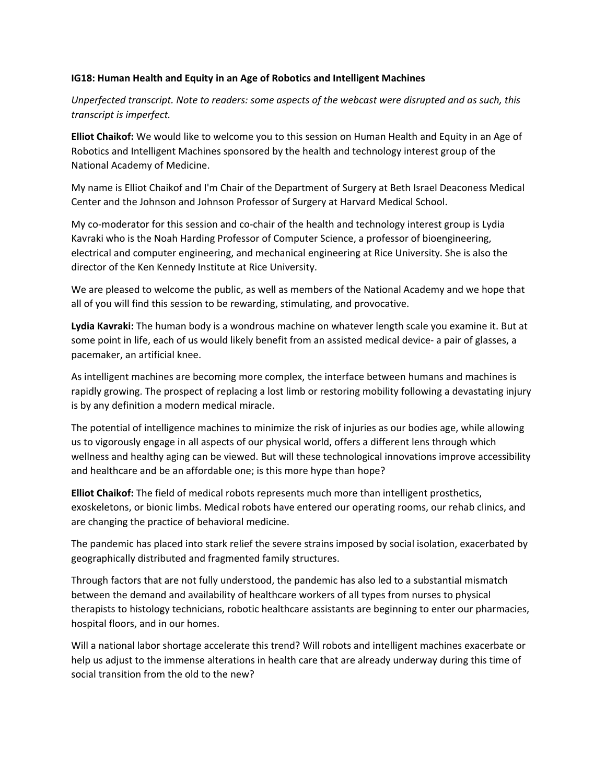### **IG18: Human Health and Equity in an Age of Robotics and Intelligent Machines**

*Unperfected transcript. Note to readers: some aspects of the webcast were disrupted and as such, this transcript is imperfect.* 

**Elliot Chaikof:** We would like to welcome you to this session on Human Health and Equity in an Age of Robotics and Intelligent Machines sponsored by the health and technology interest group of the National Academy of Medicine.

My name is Elliot Chaikof and I'm Chair of the Department of Surgery at Beth Israel Deaconess Medical Center and the Johnson and Johnson Professor of Surgery at Harvard Medical School.

My co-moderator for this session and co-chair of the health and technology interest group is Lydia Kavraki who is the Noah Harding Professor of Computer Science, a professor of bioengineering, electrical and computer engineering, and mechanical engineering at Rice University. She is also the director of the Ken Kennedy Institute at Rice University.

We are pleased to welcome the public, as well as members of the National Academy and we hope that all of you will find this session to be rewarding, stimulating, and provocative.

**Lydia Kavraki:** The human body is a wondrous machine on whatever length scale you examine it. But at some point in life, each of us would likely benefit from an assisted medical device- a pair of glasses, a pacemaker, an artificial knee.

As intelligent machines are becoming more complex, the interface between humans and machines is rapidly growing. The prospect of replacing a lost limb or restoring mobility following a devastating injury is by any definition a modern medical miracle.

The potential of intelligence machines to minimize the risk of injuries as our bodies age, while allowing us to vigorously engage in all aspects of our physical world, offers a different lens through which wellness and healthy aging can be viewed. But will these technological innovations improve accessibility and healthcare and be an affordable one; is this more hype than hope?

**Elliot Chaikof:** The field of medical robots represents much more than intelligent prosthetics, exoskeletons, or bionic limbs. Medical robots have entered our operating rooms, our rehab clinics, and are changing the practice of behavioral medicine.

The pandemic has placed into stark relief the severe strains imposed by social isolation, exacerbated by geographically distributed and fragmented family structures.

Through factors that are not fully understood, the pandemic has also led to a substantial mismatch between the demand and availability of healthcare workers of all types from nurses to physical therapists to histology technicians, robotic healthcare assistants are beginning to enter our pharmacies, hospital floors, and in our homes.

Will a national labor shortage accelerate this trend? Will robots and intelligent machines exacerbate or help us adjust to the immense alterations in health care that are already underway during this time of social transition from the old to the new?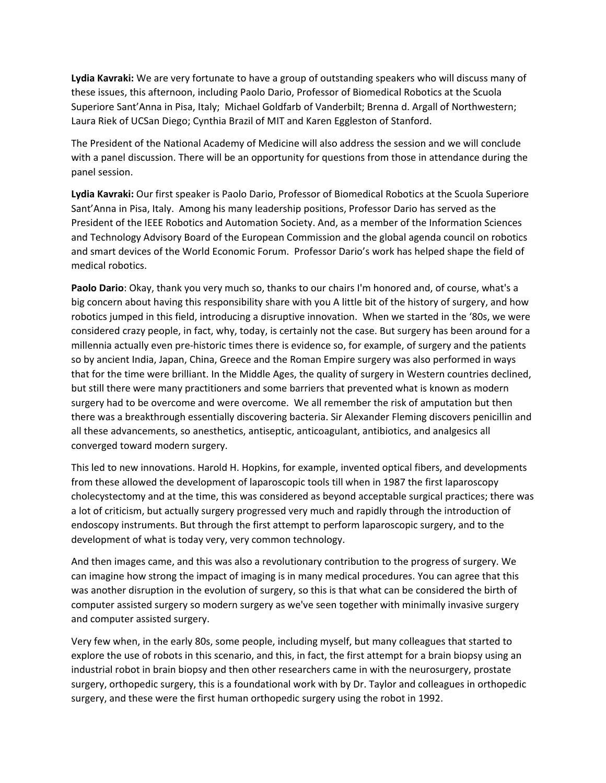**Lydia Kavraki:** We are very fortunate to have a group of outstanding speakers who will discuss many of these issues, this afternoon, including Paolo Dario, Professor of Biomedical Robotics at the Scuola Superiore Sant'Anna in Pisa, Italy; Michael Goldfarb of Vanderbilt; Brenna d. Argall of Northwestern; Laura Riek of UCSan Diego; Cynthia Brazil of MIT and Karen Eggleston of Stanford.

The President of the National Academy of Medicine will also address the session and we will conclude with a panel discussion. There will be an opportunity for questions from those in attendance during the panel session.

**Lydia Kavraki:** Our first speaker is Paolo Dario, Professor of Biomedical Robotics at the Scuola Superiore Sant'Anna in Pisa, Italy. Among his many leadership positions, Professor Dario has served as the President of the IEEE Robotics and Automation Society. And, as a member of the Information Sciences and Technology Advisory Board of the European Commission and the global agenda council on robotics and smart devices of the World Economic Forum. Professor Dario's work has helped shape the field of medical robotics.

**Paolo Dario**: Okay, thank you very much so, thanks to our chairs I'm honored and, of course, what's a big concern about having this responsibility share with you A little bit of the history of surgery, and how robotics jumped in this field, introducing a disruptive innovation. When we started in the '80s, we were considered crazy people, in fact, why, today, is certainly not the case. But surgery has been around for a millennia actually even pre‐historic times there is evidence so, for example, of surgery and the patients so by ancient India, Japan, China, Greece and the Roman Empire surgery was also performed in ways that for the time were brilliant. In the Middle Ages, the quality of surgery in Western countries declined, but still there were many practitioners and some barriers that prevented what is known as modern surgery had to be overcome and were overcome. We all remember the risk of amputation but then there was a breakthrough essentially discovering bacteria. Sir Alexander Fleming discovers penicillin and all these advancements, so anesthetics, antiseptic, anticoagulant, antibiotics, and analgesics all converged toward modern surgery.

This led to new innovations. Harold H. Hopkins, for example, invented optical fibers, and developments from these allowed the development of laparoscopic tools till when in 1987 the first laparoscopy cholecystectomy and at the time, this was considered as beyond acceptable surgical practices; there was a lot of criticism, but actually surgery progressed very much and rapidly through the introduction of endoscopy instruments. But through the first attempt to perform laparoscopic surgery, and to the development of what is today very, very common technology.

And then images came, and this was also a revolutionary contribution to the progress of surgery. We can imagine how strong the impact of imaging is in many medical procedures. You can agree that this was another disruption in the evolution of surgery, so this is that what can be considered the birth of computer assisted surgery so modern surgery as we've seen together with minimally invasive surgery and computer assisted surgery.

Very few when, in the early 80s, some people, including myself, but many colleagues that started to explore the use of robots in this scenario, and this, in fact, the first attempt for a brain biopsy using an industrial robot in brain biopsy and then other researchers came in with the neurosurgery, prostate surgery, orthopedic surgery, this is a foundational work with by Dr. Taylor and colleagues in orthopedic surgery, and these were the first human orthopedic surgery using the robot in 1992.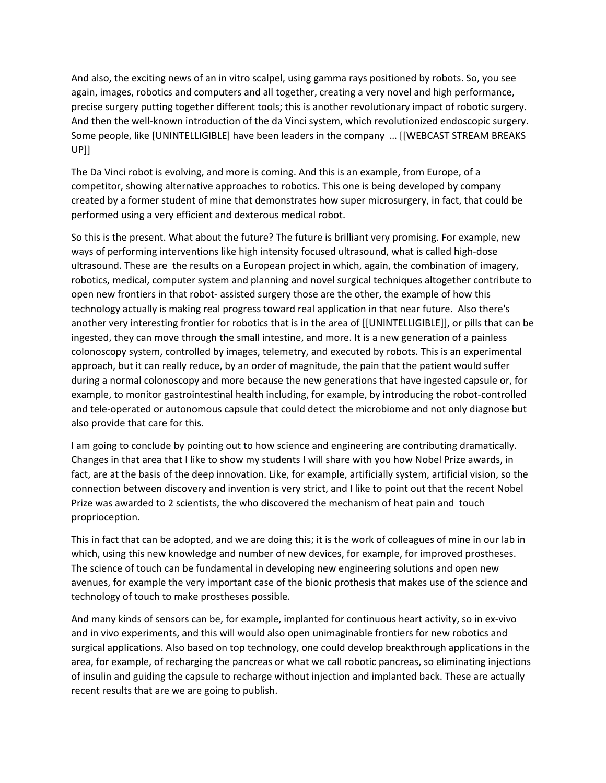And also, the exciting news of an in vitro scalpel, using gamma rays positioned by robots. So, you see again, images, robotics and computers and all together, creating a very novel and high performance, precise surgery putting together different tools; this is another revolutionary impact of robotic surgery. And then the well‐known introduction of the da Vinci system, which revolutionized endoscopic surgery. Some people, like [UNINTELLIGIBLE] have been leaders in the company … [[WEBCAST STREAM BREAKS UP]]

The Da Vinci robot is evolving, and more is coming. And this is an example, from Europe, of a competitor, showing alternative approaches to robotics. This one is being developed by company created by a former student of mine that demonstrates how super microsurgery, in fact, that could be performed using a very efficient and dexterous medical robot.

So this is the present. What about the future? The future is brilliant very promising. For example, new ways of performing interventions like high intensity focused ultrasound, what is called high‐dose ultrasound. These are the results on a European project in which, again, the combination of imagery, robotics, medical, computer system and planning and novel surgical techniques altogether contribute to open new frontiers in that robot- assisted surgery those are the other, the example of how this technology actually is making real progress toward real application in that near future. Also there's another very interesting frontier for robotics that is in the area of [[UNINTELLIGIBLE]], or pills that can be ingested, they can move through the small intestine, and more. It is a new generation of a painless colonoscopy system, controlled by images, telemetry, and executed by robots. This is an experimental approach, but it can really reduce, by an order of magnitude, the pain that the patient would suffer during a normal colonoscopy and more because the new generations that have ingested capsule or, for example, to monitor gastrointestinal health including, for example, by introducing the robot-controlled and tele‐operated or autonomous capsule that could detect the microbiome and not only diagnose but also provide that care for this.

I am going to conclude by pointing out to how science and engineering are contributing dramatically. Changes in that area that I like to show my students I will share with you how Nobel Prize awards, in fact, are at the basis of the deep innovation. Like, for example, artificially system, artificial vision, so the connection between discovery and invention is very strict, and I like to point out that the recent Nobel Prize was awarded to 2 scientists, the who discovered the mechanism of heat pain and touch proprioception.

This in fact that can be adopted, and we are doing this; it is the work of colleagues of mine in our lab in which, using this new knowledge and number of new devices, for example, for improved prostheses. The science of touch can be fundamental in developing new engineering solutions and open new avenues, for example the very important case of the bionic prothesis that makes use of the science and technology of touch to make prostheses possible.

And many kinds of sensors can be, for example, implanted for continuous heart activity, so in ex‐vivo and in vivo experiments, and this will would also open unimaginable frontiers for new robotics and surgical applications. Also based on top technology, one could develop breakthrough applications in the area, for example, of recharging the pancreas or what we call robotic pancreas, so eliminating injections of insulin and guiding the capsule to recharge without injection and implanted back. These are actually recent results that are we are going to publish.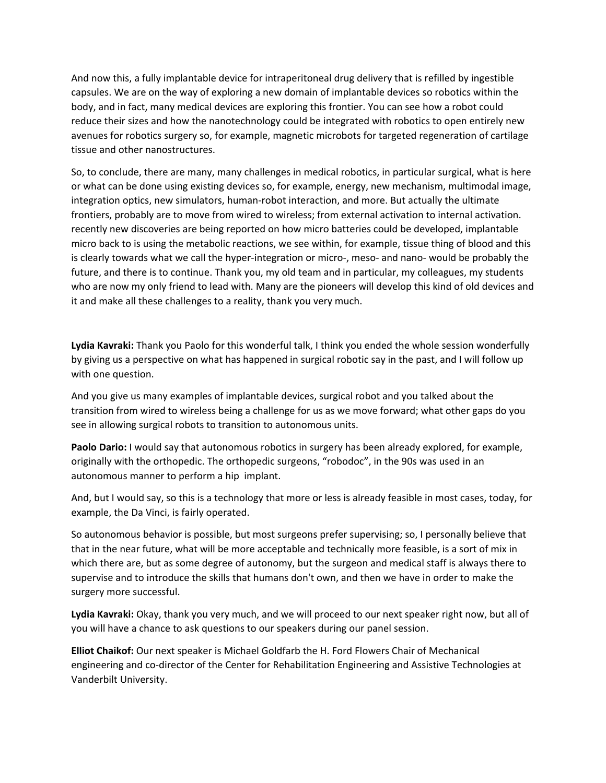And now this, a fully implantable device for intraperitoneal drug delivery that is refilled by ingestible capsules. We are on the way of exploring a new domain of implantable devices so robotics within the body, and in fact, many medical devices are exploring this frontier. You can see how a robot could reduce their sizes and how the nanotechnology could be integrated with robotics to open entirely new avenues for robotics surgery so, for example, magnetic microbots for targeted regeneration of cartilage tissue and other nanostructures.

So, to conclude, there are many, many challenges in medical robotics, in particular surgical, what is here or what can be done using existing devices so, for example, energy, new mechanism, multimodal image, integration optics, new simulators, human‐robot interaction, and more. But actually the ultimate frontiers, probably are to move from wired to wireless; from external activation to internal activation. recently new discoveries are being reported on how micro batteries could be developed, implantable micro back to is using the metabolic reactions, we see within, for example, tissue thing of blood and this is clearly towards what we call the hyper‐integration or micro‐, meso‐ and nano‐ would be probably the future, and there is to continue. Thank you, my old team and in particular, my colleagues, my students who are now my only friend to lead with. Many are the pioneers will develop this kind of old devices and it and make all these challenges to a reality, thank you very much.

**Lydia Kavraki:** Thank you Paolo for this wonderful talk, I think you ended the whole session wonderfully by giving us a perspective on what has happened in surgical robotic say in the past, and I will follow up with one question.

And you give us many examples of implantable devices, surgical robot and you talked about the transition from wired to wireless being a challenge for us as we move forward; what other gaps do you see in allowing surgical robots to transition to autonomous units.

**Paolo Dario:** I would say that autonomous robotics in surgery has been already explored, for example, originally with the orthopedic. The orthopedic surgeons, "robodoc", in the 90s was used in an autonomous manner to perform a hip implant.

And, but I would say, so this is a technology that more or less is already feasible in most cases, today, for example, the Da Vinci, is fairly operated.

So autonomous behavior is possible, but most surgeons prefer supervising; so, I personally believe that that in the near future, what will be more acceptable and technically more feasible, is a sort of mix in which there are, but as some degree of autonomy, but the surgeon and medical staff is always there to supervise and to introduce the skills that humans don't own, and then we have in order to make the surgery more successful.

**Lydia Kavraki:** Okay, thank you very much, and we will proceed to our next speaker right now, but all of you will have a chance to ask questions to our speakers during our panel session.

**Elliot Chaikof:** Our next speaker is Michael Goldfarb the H. Ford Flowers Chair of Mechanical engineering and co‐director of the Center for Rehabilitation Engineering and Assistive Technologies at Vanderbilt University.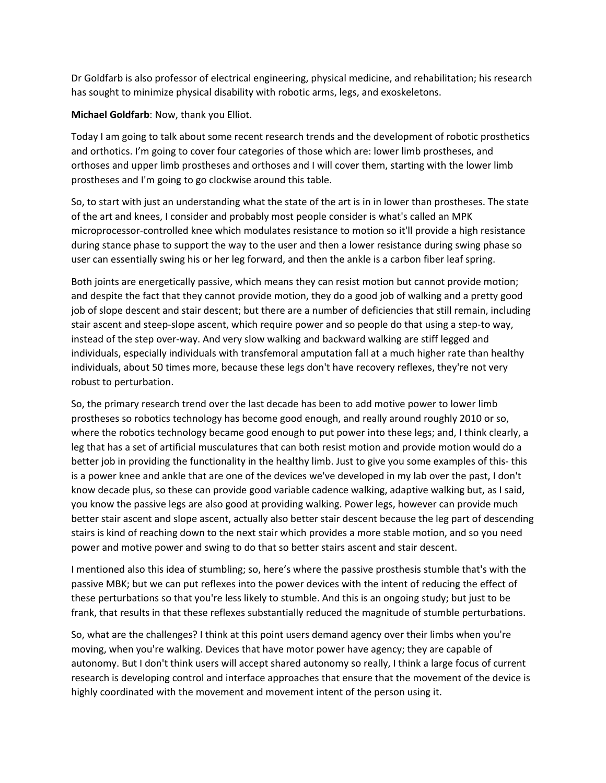Dr Goldfarb is also professor of electrical engineering, physical medicine, and rehabilitation; his research has sought to minimize physical disability with robotic arms, legs, and exoskeletons.

**Michael Goldfarb**: Now, thank you Elliot.

Today I am going to talk about some recent research trends and the development of robotic prosthetics and orthotics. I'm going to cover four categories of those which are: lower limb prostheses, and orthoses and upper limb prostheses and orthoses and I will cover them, starting with the lower limb prostheses and I'm going to go clockwise around this table.

So, to start with just an understanding what the state of the art is in in lower than prostheses. The state of the art and knees, I consider and probably most people consider is what's called an MPK microprocessor‐controlled knee which modulates resistance to motion so it'll provide a high resistance during stance phase to support the way to the user and then a lower resistance during swing phase so user can essentially swing his or her leg forward, and then the ankle is a carbon fiber leaf spring.

Both joints are energetically passive, which means they can resist motion but cannot provide motion; and despite the fact that they cannot provide motion, they do a good job of walking and a pretty good job of slope descent and stair descent; but there are a number of deficiencies that still remain, including stair ascent and steep‐slope ascent, which require power and so people do that using a step‐to way, instead of the step over‐way. And very slow walking and backward walking are stiff legged and individuals, especially individuals with transfemoral amputation fall at a much higher rate than healthy individuals, about 50 times more, because these legs don't have recovery reflexes, they're not very robust to perturbation.

So, the primary research trend over the last decade has been to add motive power to lower limb prostheses so robotics technology has become good enough, and really around roughly 2010 or so, where the robotics technology became good enough to put power into these legs; and, I think clearly, a leg that has a set of artificial musculatures that can both resist motion and provide motion would do a better job in providing the functionality in the healthy limb. Just to give you some examples of this‐ this is a power knee and ankle that are one of the devices we've developed in my lab over the past, I don't know decade plus, so these can provide good variable cadence walking, adaptive walking but, as I said, you know the passive legs are also good at providing walking. Power legs, however can provide much better stair ascent and slope ascent, actually also better stair descent because the leg part of descending stairs is kind of reaching down to the next stair which provides a more stable motion, and so you need power and motive power and swing to do that so better stairs ascent and stair descent.

I mentioned also this idea of stumbling; so, here's where the passive prosthesis stumble that's with the passive MBK; but we can put reflexes into the power devices with the intent of reducing the effect of these perturbations so that you're less likely to stumble. And this is an ongoing study; but just to be frank, that results in that these reflexes substantially reduced the magnitude of stumble perturbations.

So, what are the challenges? I think at this point users demand agency over their limbs when you're moving, when you're walking. Devices that have motor power have agency; they are capable of autonomy. But I don't think users will accept shared autonomy so really, I think a large focus of current research is developing control and interface approaches that ensure that the movement of the device is highly coordinated with the movement and movement intent of the person using it.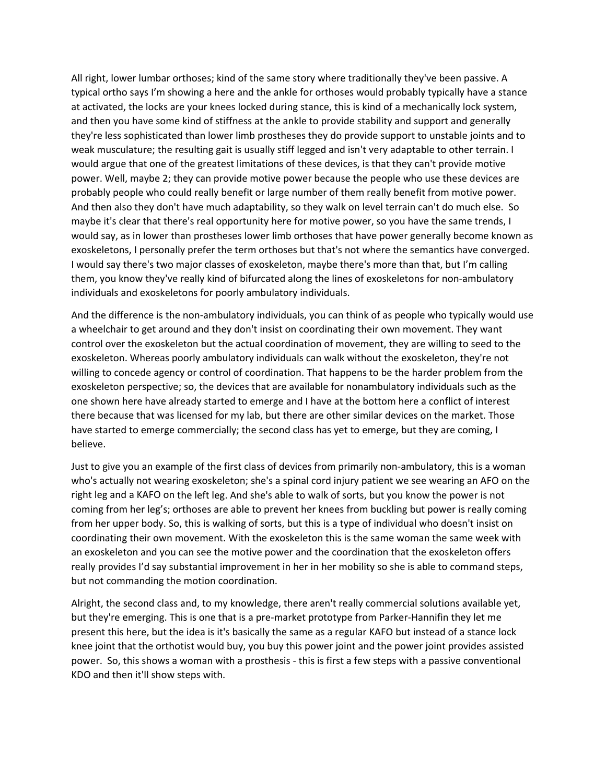All right, lower lumbar orthoses; kind of the same story where traditionally they've been passive. A typical ortho says I'm showing a here and the ankle for orthoses would probably typically have a stance at activated, the locks are your knees locked during stance, this is kind of a mechanically lock system, and then you have some kind of stiffness at the ankle to provide stability and support and generally they're less sophisticated than lower limb prostheses they do provide support to unstable joints and to weak musculature; the resulting gait is usually stiff legged and isn't very adaptable to other terrain. I would argue that one of the greatest limitations of these devices, is that they can't provide motive power. Well, maybe 2; they can provide motive power because the people who use these devices are probably people who could really benefit or large number of them really benefit from motive power. And then also they don't have much adaptability, so they walk on level terrain can't do much else. So maybe it's clear that there's real opportunity here for motive power, so you have the same trends, I would say, as in lower than prostheses lower limb orthoses that have power generally become known as exoskeletons, I personally prefer the term orthoses but that's not where the semantics have converged. I would say there's two major classes of exoskeleton, maybe there's more than that, but I'm calling them, you know they've really kind of bifurcated along the lines of exoskeletons for non‐ambulatory individuals and exoskeletons for poorly ambulatory individuals.

And the difference is the non‐ambulatory individuals, you can think of as people who typically would use a wheelchair to get around and they don't insist on coordinating their own movement. They want control over the exoskeleton but the actual coordination of movement, they are willing to seed to the exoskeleton. Whereas poorly ambulatory individuals can walk without the exoskeleton, they're not willing to concede agency or control of coordination. That happens to be the harder problem from the exoskeleton perspective; so, the devices that are available for nonambulatory individuals such as the one shown here have already started to emerge and I have at the bottom here a conflict of interest there because that was licensed for my lab, but there are other similar devices on the market. Those have started to emerge commercially; the second class has yet to emerge, but they are coming, I believe.

Just to give you an example of the first class of devices from primarily non‐ambulatory, this is a woman who's actually not wearing exoskeleton; she's a spinal cord injury patient we see wearing an AFO on the right leg and a KAFO on the left leg. And she's able to walk of sorts, but you know the power is not coming from her leg's; orthoses are able to prevent her knees from buckling but power is really coming from her upper body. So, this is walking of sorts, but this is a type of individual who doesn't insist on coordinating their own movement. With the exoskeleton this is the same woman the same week with an exoskeleton and you can see the motive power and the coordination that the exoskeleton offers really provides I'd say substantial improvement in her in her mobility so she is able to command steps, but not commanding the motion coordination.

Alright, the second class and, to my knowledge, there aren't really commercial solutions available yet, but they're emerging. This is one that is a pre‐market prototype from Parker‐Hannifin they let me present this here, but the idea is it's basically the same as a regular KAFO but instead of a stance lock knee joint that the orthotist would buy, you buy this power joint and the power joint provides assisted power. So, this shows a woman with a prosthesis ‐ this is first a few steps with a passive conventional KDO and then it'll show steps with.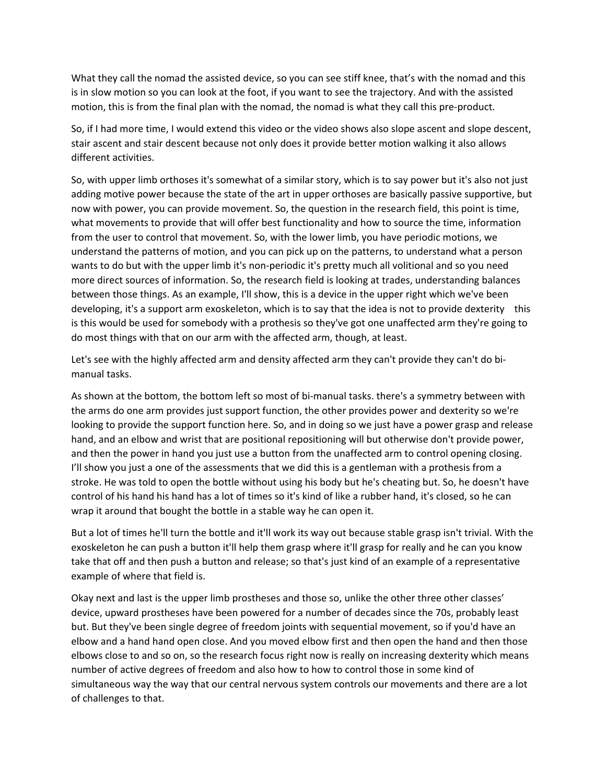What they call the nomad the assisted device, so you can see stiff knee, that's with the nomad and this is in slow motion so you can look at the foot, if you want to see the trajectory. And with the assisted motion, this is from the final plan with the nomad, the nomad is what they call this pre‐product.

So, if I had more time, I would extend this video or the video shows also slope ascent and slope descent, stair ascent and stair descent because not only does it provide better motion walking it also allows different activities.

So, with upper limb orthoses it's somewhat of a similar story, which is to say power but it's also not just adding motive power because the state of the art in upper orthoses are basically passive supportive, but now with power, you can provide movement. So, the question in the research field, this point is time, what movements to provide that will offer best functionality and how to source the time, information from the user to control that movement. So, with the lower limb, you have periodic motions, we understand the patterns of motion, and you can pick up on the patterns, to understand what a person wants to do but with the upper limb it's non-periodic it's pretty much all volitional and so you need more direct sources of information. So, the research field is looking at trades, understanding balances between those things. As an example, I'll show, this is a device in the upper right which we've been developing, it's a support arm exoskeleton, which is to say that the idea is not to provide dexterity this is this would be used for somebody with a prothesis so they've got one unaffected arm they're going to do most things with that on our arm with the affected arm, though, at least.

Let's see with the highly affected arm and density affected arm they can't provide they can't do bimanual tasks.

As shown at the bottom, the bottom left so most of bi-manual tasks. there's a symmetry between with the arms do one arm provides just support function, the other provides power and dexterity so we're looking to provide the support function here. So, and in doing so we just have a power grasp and release hand, and an elbow and wrist that are positional repositioning will but otherwise don't provide power, and then the power in hand you just use a button from the unaffected arm to control opening closing. I'll show you just a one of the assessments that we did this is a gentleman with a prothesis from a stroke. He was told to open the bottle without using his body but he's cheating but. So, he doesn't have control of his hand his hand has a lot of times so it's kind of like a rubber hand, it's closed, so he can wrap it around that bought the bottle in a stable way he can open it.

But a lot of times he'll turn the bottle and it'll work its way out because stable grasp isn't trivial. With the exoskeleton he can push a button it'll help them grasp where it'll grasp for really and he can you know take that off and then push a button and release; so that's just kind of an example of a representative example of where that field is.

Okay next and last is the upper limb prostheses and those so, unlike the other three other classes' device, upward prostheses have been powered for a number of decades since the 70s, probably least but. But they've been single degree of freedom joints with sequential movement, so if you'd have an elbow and a hand hand open close. And you moved elbow first and then open the hand and then those elbows close to and so on, so the research focus right now is really on increasing dexterity which means number of active degrees of freedom and also how to how to control those in some kind of simultaneous way the way that our central nervous system controls our movements and there are a lot of challenges to that.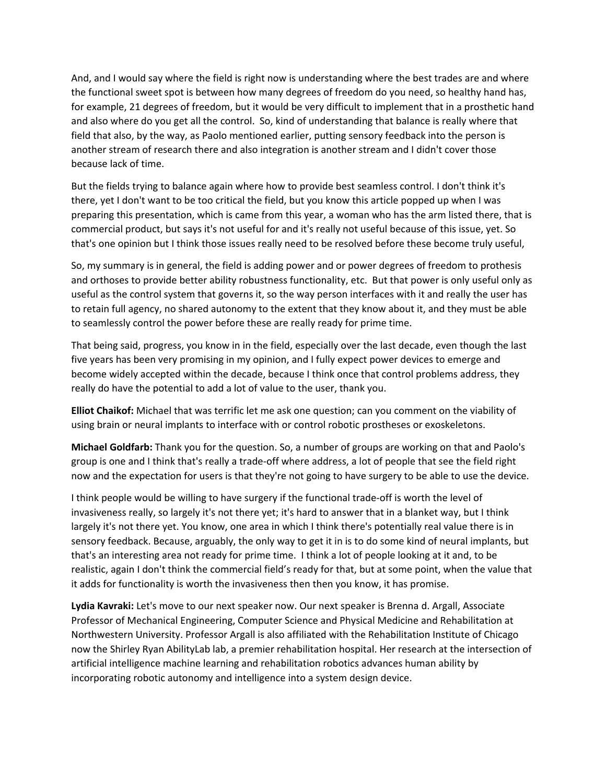And, and I would say where the field is right now is understanding where the best trades are and where the functional sweet spot is between how many degrees of freedom do you need, so healthy hand has, for example, 21 degrees of freedom, but it would be very difficult to implement that in a prosthetic hand and also where do you get all the control. So, kind of understanding that balance is really where that field that also, by the way, as Paolo mentioned earlier, putting sensory feedback into the person is another stream of research there and also integration is another stream and I didn't cover those because lack of time.

But the fields trying to balance again where how to provide best seamless control. I don't think it's there, yet I don't want to be too critical the field, but you know this article popped up when I was preparing this presentation, which is came from this year, a woman who has the arm listed there, that is commercial product, but says it's not useful for and it's really not useful because of this issue, yet. So that's one opinion but I think those issues really need to be resolved before these become truly useful,

So, my summary is in general, the field is adding power and or power degrees of freedom to prothesis and orthoses to provide better ability robustness functionality, etc. But that power is only useful only as useful as the control system that governs it, so the way person interfaces with it and really the user has to retain full agency, no shared autonomy to the extent that they know about it, and they must be able to seamlessly control the power before these are really ready for prime time.

That being said, progress, you know in in the field, especially over the last decade, even though the last five years has been very promising in my opinion, and I fully expect power devices to emerge and become widely accepted within the decade, because I think once that control problems address, they really do have the potential to add a lot of value to the user, thank you.

**Elliot Chaikof:** Michael that was terrific let me ask one question; can you comment on the viability of using brain or neural implants to interface with or control robotic prostheses or exoskeletons.

**Michael Goldfarb:** Thank you for the question. So, a number of groups are working on that and Paolo's group is one and I think that's really a trade‐off where address, a lot of people that see the field right now and the expectation for users is that they're not going to have surgery to be able to use the device.

I think people would be willing to have surgery if the functional trade‐off is worth the level of invasiveness really, so largely it's not there yet; it's hard to answer that in a blanket way, but I think largely it's not there yet. You know, one area in which I think there's potentially real value there is in sensory feedback. Because, arguably, the only way to get it in is to do some kind of neural implants, but that's an interesting area not ready for prime time. I think a lot of people looking at it and, to be realistic, again I don't think the commercial field's ready for that, but at some point, when the value that it adds for functionality is worth the invasiveness then then you know, it has promise.

**Lydia Kavraki:** Let's move to our next speaker now. Our next speaker is Brenna d. Argall, Associate Professor of Mechanical Engineering, Computer Science and Physical Medicine and Rehabilitation at Northwestern University. Professor Argall is also affiliated with the Rehabilitation Institute of Chicago now the Shirley Ryan AbilityLab lab, a premier rehabilitation hospital. Her research at the intersection of artificial intelligence machine learning and rehabilitation robotics advances human ability by incorporating robotic autonomy and intelligence into a system design device.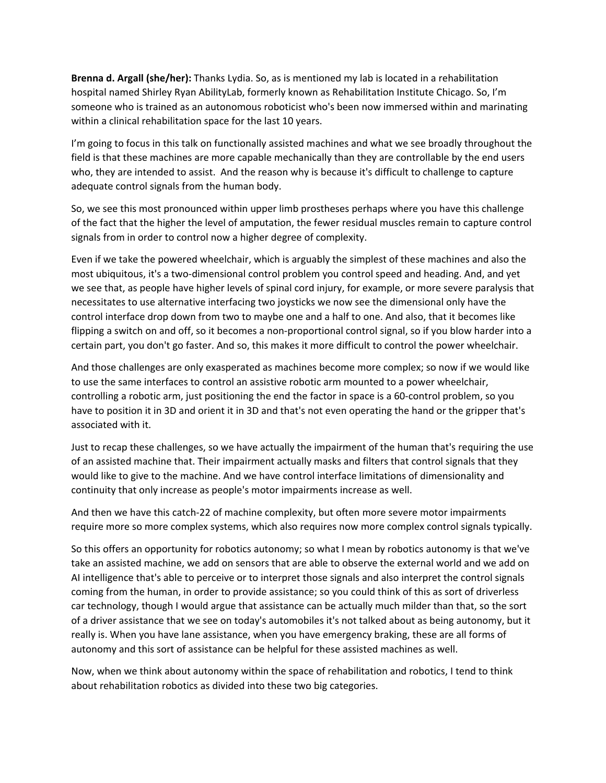**Brenna d. Argall (she/her):** Thanks Lydia. So, as is mentioned my lab is located in a rehabilitation hospital named Shirley Ryan AbilityLab, formerly known as Rehabilitation Institute Chicago. So, I'm someone who is trained as an autonomous roboticist who's been now immersed within and marinating within a clinical rehabilitation space for the last 10 years.

I'm going to focus in this talk on functionally assisted machines and what we see broadly throughout the field is that these machines are more capable mechanically than they are controllable by the end users who, they are intended to assist. And the reason why is because it's difficult to challenge to capture adequate control signals from the human body.

So, we see this most pronounced within upper limb prostheses perhaps where you have this challenge of the fact that the higher the level of amputation, the fewer residual muscles remain to capture control signals from in order to control now a higher degree of complexity.

Even if we take the powered wheelchair, which is arguably the simplest of these machines and also the most ubiquitous, it's a two‐dimensional control problem you control speed and heading. And, and yet we see that, as people have higher levels of spinal cord injury, for example, or more severe paralysis that necessitates to use alternative interfacing two joysticks we now see the dimensional only have the control interface drop down from two to maybe one and a half to one. And also, that it becomes like flipping a switch on and off, so it becomes a non-proportional control signal, so if you blow harder into a certain part, you don't go faster. And so, this makes it more difficult to control the power wheelchair.

And those challenges are only exasperated as machines become more complex; so now if we would like to use the same interfaces to control an assistive robotic arm mounted to a power wheelchair, controlling a robotic arm, just positioning the end the factor in space is a 60‐control problem, so you have to position it in 3D and orient it in 3D and that's not even operating the hand or the gripper that's associated with it.

Just to recap these challenges, so we have actually the impairment of the human that's requiring the use of an assisted machine that. Their impairment actually masks and filters that control signals that they would like to give to the machine. And we have control interface limitations of dimensionality and continuity that only increase as people's motor impairments increase as well.

And then we have this catch-22 of machine complexity, but often more severe motor impairments require more so more complex systems, which also requires now more complex control signals typically.

So this offers an opportunity for robotics autonomy; so what I mean by robotics autonomy is that we've take an assisted machine, we add on sensors that are able to observe the external world and we add on AI intelligence that's able to perceive or to interpret those signals and also interpret the control signals coming from the human, in order to provide assistance; so you could think of this as sort of driverless car technology, though I would argue that assistance can be actually much milder than that, so the sort of a driver assistance that we see on today's automobiles it's not talked about as being autonomy, but it really is. When you have lane assistance, when you have emergency braking, these are all forms of autonomy and this sort of assistance can be helpful for these assisted machines as well.

Now, when we think about autonomy within the space of rehabilitation and robotics, I tend to think about rehabilitation robotics as divided into these two big categories.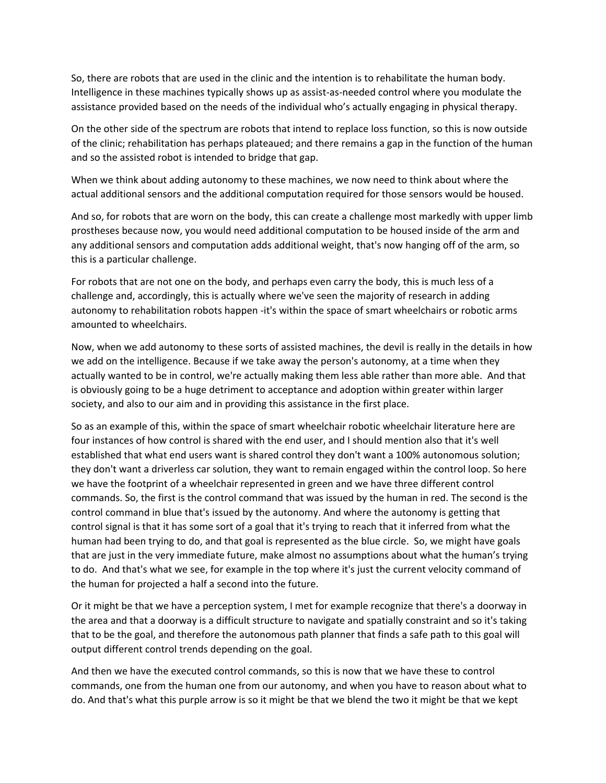So, there are robots that are used in the clinic and the intention is to rehabilitate the human body. Intelligence in these machines typically shows up as assist‐as‐needed control where you modulate the assistance provided based on the needs of the individual who's actually engaging in physical therapy.

On the other side of the spectrum are robots that intend to replace loss function, so this is now outside of the clinic; rehabilitation has perhaps plateaued; and there remains a gap in the function of the human and so the assisted robot is intended to bridge that gap.

When we think about adding autonomy to these machines, we now need to think about where the actual additional sensors and the additional computation required for those sensors would be housed.

And so, for robots that are worn on the body, this can create a challenge most markedly with upper limb prostheses because now, you would need additional computation to be housed inside of the arm and any additional sensors and computation adds additional weight, that's now hanging off of the arm, so this is a particular challenge.

For robots that are not one on the body, and perhaps even carry the body, this is much less of a challenge and, accordingly, this is actually where we've seen the majority of research in adding autonomy to rehabilitation robots happen ‐it's within the space of smart wheelchairs or robotic arms amounted to wheelchairs.

Now, when we add autonomy to these sorts of assisted machines, the devil is really in the details in how we add on the intelligence. Because if we take away the person's autonomy, at a time when they actually wanted to be in control, we're actually making them less able rather than more able. And that is obviously going to be a huge detriment to acceptance and adoption within greater within larger society, and also to our aim and in providing this assistance in the first place.

So as an example of this, within the space of smart wheelchair robotic wheelchair literature here are four instances of how control is shared with the end user, and I should mention also that it's well established that what end users want is shared control they don't want a 100% autonomous solution; they don't want a driverless car solution, they want to remain engaged within the control loop. So here we have the footprint of a wheelchair represented in green and we have three different control commands. So, the first is the control command that was issued by the human in red. The second is the control command in blue that's issued by the autonomy. And where the autonomy is getting that control signal is that it has some sort of a goal that it's trying to reach that it inferred from what the human had been trying to do, and that goal is represented as the blue circle. So, we might have goals that are just in the very immediate future, make almost no assumptions about what the human's trying to do. And that's what we see, for example in the top where it's just the current velocity command of the human for projected a half a second into the future.

Or it might be that we have a perception system, I met for example recognize that there's a doorway in the area and that a doorway is a difficult structure to navigate and spatially constraint and so it's taking that to be the goal, and therefore the autonomous path planner that finds a safe path to this goal will output different control trends depending on the goal.

And then we have the executed control commands, so this is now that we have these to control commands, one from the human one from our autonomy, and when you have to reason about what to do. And that's what this purple arrow is so it might be that we blend the two it might be that we kept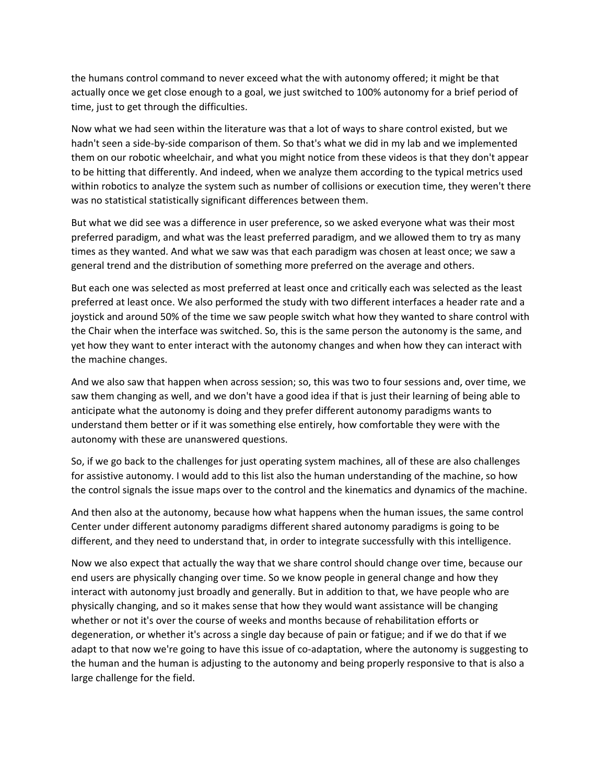the humans control command to never exceed what the with autonomy offered; it might be that actually once we get close enough to a goal, we just switched to 100% autonomy for a brief period of time, just to get through the difficulties.

Now what we had seen within the literature was that a lot of ways to share control existed, but we hadn't seen a side-by-side comparison of them. So that's what we did in my lab and we implemented them on our robotic wheelchair, and what you might notice from these videos is that they don't appear to be hitting that differently. And indeed, when we analyze them according to the typical metrics used within robotics to analyze the system such as number of collisions or execution time, they weren't there was no statistical statistically significant differences between them.

But what we did see was a difference in user preference, so we asked everyone what was their most preferred paradigm, and what was the least preferred paradigm, and we allowed them to try as many times as they wanted. And what we saw was that each paradigm was chosen at least once; we saw a general trend and the distribution of something more preferred on the average and others.

But each one was selected as most preferred at least once and critically each was selected as the least preferred at least once. We also performed the study with two different interfaces a header rate and a joystick and around 50% of the time we saw people switch what how they wanted to share control with the Chair when the interface was switched. So, this is the same person the autonomy is the same, and yet how they want to enter interact with the autonomy changes and when how they can interact with the machine changes.

And we also saw that happen when across session; so, this was two to four sessions and, over time, we saw them changing as well, and we don't have a good idea if that is just their learning of being able to anticipate what the autonomy is doing and they prefer different autonomy paradigms wants to understand them better or if it was something else entirely, how comfortable they were with the autonomy with these are unanswered questions.

So, if we go back to the challenges for just operating system machines, all of these are also challenges for assistive autonomy. I would add to this list also the human understanding of the machine, so how the control signals the issue maps over to the control and the kinematics and dynamics of the machine.

And then also at the autonomy, because how what happens when the human issues, the same control Center under different autonomy paradigms different shared autonomy paradigms is going to be different, and they need to understand that, in order to integrate successfully with this intelligence.

Now we also expect that actually the way that we share control should change over time, because our end users are physically changing over time. So we know people in general change and how they interact with autonomy just broadly and generally. But in addition to that, we have people who are physically changing, and so it makes sense that how they would want assistance will be changing whether or not it's over the course of weeks and months because of rehabilitation efforts or degeneration, or whether it's across a single day because of pain or fatigue; and if we do that if we adapt to that now we're going to have this issue of co-adaptation, where the autonomy is suggesting to the human and the human is adjusting to the autonomy and being properly responsive to that is also a large challenge for the field.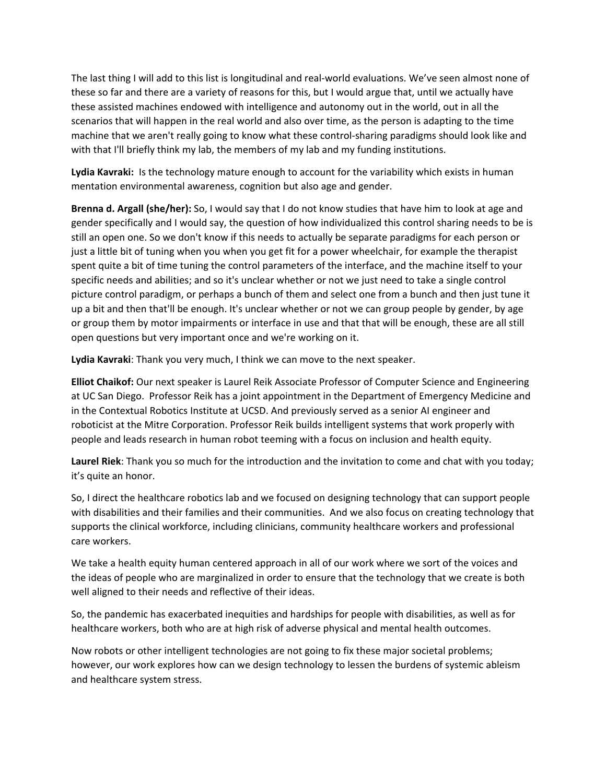The last thing I will add to this list is longitudinal and real‐world evaluations. We've seen almost none of these so far and there are a variety of reasons for this, but I would argue that, until we actually have these assisted machines endowed with intelligence and autonomy out in the world, out in all the scenarios that will happen in the real world and also over time, as the person is adapting to the time machine that we aren't really going to know what these control‐sharing paradigms should look like and with that I'll briefly think my lab, the members of my lab and my funding institutions.

**Lydia Kavraki:** Is the technology mature enough to account for the variability which exists in human mentation environmental awareness, cognition but also age and gender.

**Brenna d. Argall (she/her):** So, I would say that I do not know studies that have him to look at age and gender specifically and I would say, the question of how individualized this control sharing needs to be is still an open one. So we don't know if this needs to actually be separate paradigms for each person or just a little bit of tuning when you when you get fit for a power wheelchair, for example the therapist spent quite a bit of time tuning the control parameters of the interface, and the machine itself to your specific needs and abilities; and so it's unclear whether or not we just need to take a single control picture control paradigm, or perhaps a bunch of them and select one from a bunch and then just tune it up a bit and then that'll be enough. It's unclear whether or not we can group people by gender, by age or group them by motor impairments or interface in use and that that will be enough, these are all still open questions but very important once and we're working on it.

**Lydia Kavraki**: Thank you very much, I think we can move to the next speaker.

**Elliot Chaikof:** Our next speaker is Laurel Reik Associate Professor of Computer Science and Engineering at UC San Diego. Professor Reik has a joint appointment in the Department of Emergency Medicine and in the Contextual Robotics Institute at UCSD. And previously served as a senior AI engineer and roboticist at the Mitre Corporation. Professor Reik builds intelligent systems that work properly with people and leads research in human robot teeming with a focus on inclusion and health equity.

**Laurel Riek**: Thank you so much for the introduction and the invitation to come and chat with you today; it's quite an honor.

So, I direct the healthcare robotics lab and we focused on designing technology that can support people with disabilities and their families and their communities. And we also focus on creating technology that supports the clinical workforce, including clinicians, community healthcare workers and professional care workers.

We take a health equity human centered approach in all of our work where we sort of the voices and the ideas of people who are marginalized in order to ensure that the technology that we create is both well aligned to their needs and reflective of their ideas.

So, the pandemic has exacerbated inequities and hardships for people with disabilities, as well as for healthcare workers, both who are at high risk of adverse physical and mental health outcomes.

Now robots or other intelligent technologies are not going to fix these major societal problems; however, our work explores how can we design technology to lessen the burdens of systemic ableism and healthcare system stress.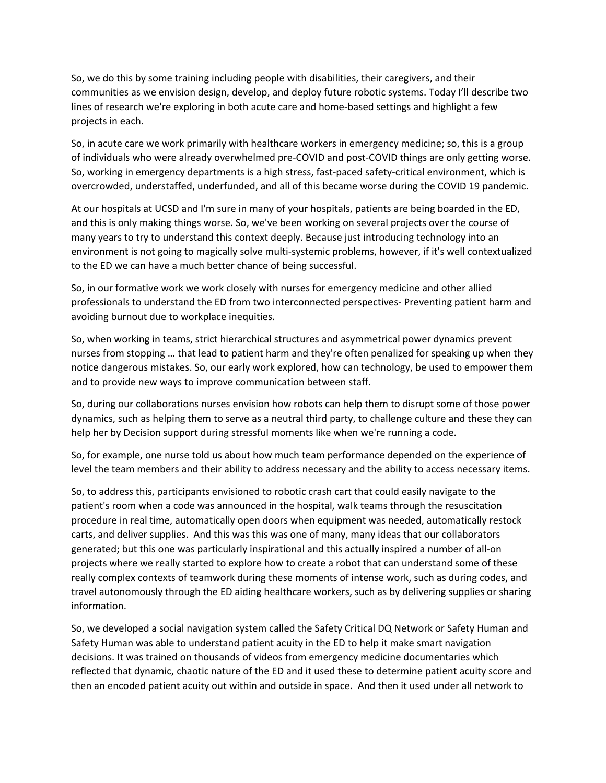So, we do this by some training including people with disabilities, their caregivers, and their communities as we envision design, develop, and deploy future robotic systems. Today I'll describe two lines of research we're exploring in both acute care and home‐based settings and highlight a few projects in each.

So, in acute care we work primarily with healthcare workers in emergency medicine; so, this is a group of individuals who were already overwhelmed pre‐COVID and post‐COVID things are only getting worse. So, working in emergency departments is a high stress, fast‐paced safety‐critical environment, which is overcrowded, understaffed, underfunded, and all of this became worse during the COVID 19 pandemic.

At our hospitals at UCSD and I'm sure in many of your hospitals, patients are being boarded in the ED, and this is only making things worse. So, we've been working on several projects over the course of many years to try to understand this context deeply. Because just introducing technology into an environment is not going to magically solve multi‐systemic problems, however, if it's well contextualized to the ED we can have a much better chance of being successful.

So, in our formative work we work closely with nurses for emergency medicine and other allied professionals to understand the ED from two interconnected perspectives‐ Preventing patient harm and avoiding burnout due to workplace inequities.

So, when working in teams, strict hierarchical structures and asymmetrical power dynamics prevent nurses from stopping … that lead to patient harm and they're often penalized for speaking up when they notice dangerous mistakes. So, our early work explored, how can technology, be used to empower them and to provide new ways to improve communication between staff.

So, during our collaborations nurses envision how robots can help them to disrupt some of those power dynamics, such as helping them to serve as a neutral third party, to challenge culture and these they can help her by Decision support during stressful moments like when we're running a code.

So, for example, one nurse told us about how much team performance depended on the experience of level the team members and their ability to address necessary and the ability to access necessary items.

So, to address this, participants envisioned to robotic crash cart that could easily navigate to the patient's room when a code was announced in the hospital, walk teams through the resuscitation procedure in real time, automatically open doors when equipment was needed, automatically restock carts, and deliver supplies. And this was this was one of many, many ideas that our collaborators generated; but this one was particularly inspirational and this actually inspired a number of all‐on projects where we really started to explore how to create a robot that can understand some of these really complex contexts of teamwork during these moments of intense work, such as during codes, and travel autonomously through the ED aiding healthcare workers, such as by delivering supplies or sharing information.

So, we developed a social navigation system called the Safety Critical DQ Network or Safety Human and Safety Human was able to understand patient acuity in the ED to help it make smart navigation decisions. It was trained on thousands of videos from emergency medicine documentaries which reflected that dynamic, chaotic nature of the ED and it used these to determine patient acuity score and then an encoded patient acuity out within and outside in space. And then it used under all network to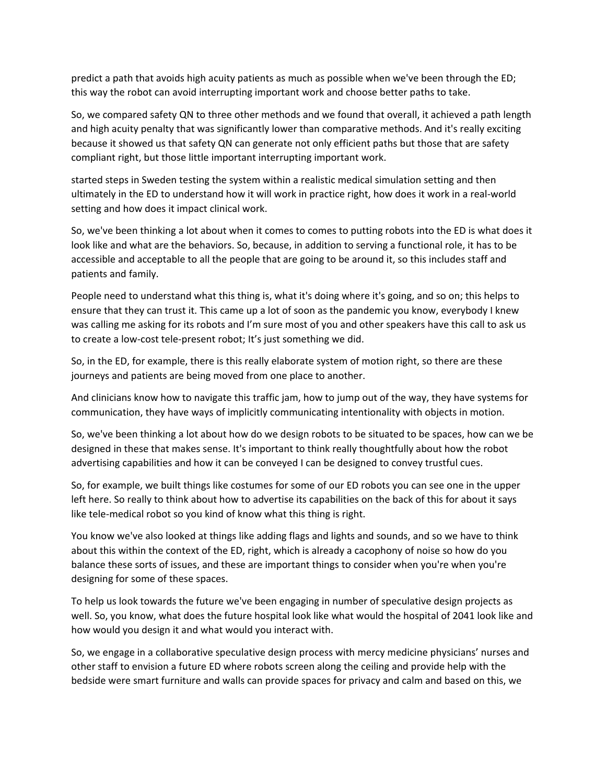predict a path that avoids high acuity patients as much as possible when we've been through the ED; this way the robot can avoid interrupting important work and choose better paths to take.

So, we compared safety QN to three other methods and we found that overall, it achieved a path length and high acuity penalty that was significantly lower than comparative methods. And it's really exciting because it showed us that safety QN can generate not only efficient paths but those that are safety compliant right, but those little important interrupting important work.

started steps in Sweden testing the system within a realistic medical simulation setting and then ultimately in the ED to understand how it will work in practice right, how does it work in a real‐world setting and how does it impact clinical work.

So, we've been thinking a lot about when it comes to comes to putting robots into the ED is what does it look like and what are the behaviors. So, because, in addition to serving a functional role, it has to be accessible and acceptable to all the people that are going to be around it, so this includes staff and patients and family.

People need to understand what this thing is, what it's doing where it's going, and so on; this helps to ensure that they can trust it. This came up a lot of soon as the pandemic you know, everybody I knew was calling me asking for its robots and I'm sure most of you and other speakers have this call to ask us to create a low‐cost tele‐present robot; It's just something we did.

So, in the ED, for example, there is this really elaborate system of motion right, so there are these journeys and patients are being moved from one place to another.

And clinicians know how to navigate this traffic jam, how to jump out of the way, they have systems for communication, they have ways of implicitly communicating intentionality with objects in motion.

So, we've been thinking a lot about how do we design robots to be situated to be spaces, how can we be designed in these that makes sense. It's important to think really thoughtfully about how the robot advertising capabilities and how it can be conveyed I can be designed to convey trustful cues.

So, for example, we built things like costumes for some of our ED robots you can see one in the upper left here. So really to think about how to advertise its capabilities on the back of this for about it says like tele-medical robot so you kind of know what this thing is right.

You know we've also looked at things like adding flags and lights and sounds, and so we have to think about this within the context of the ED, right, which is already a cacophony of noise so how do you balance these sorts of issues, and these are important things to consider when you're when you're designing for some of these spaces.

To help us look towards the future we've been engaging in number of speculative design projects as well. So, you know, what does the future hospital look like what would the hospital of 2041 look like and how would you design it and what would you interact with.

So, we engage in a collaborative speculative design process with mercy medicine physicians' nurses and other staff to envision a future ED where robots screen along the ceiling and provide help with the bedside were smart furniture and walls can provide spaces for privacy and calm and based on this, we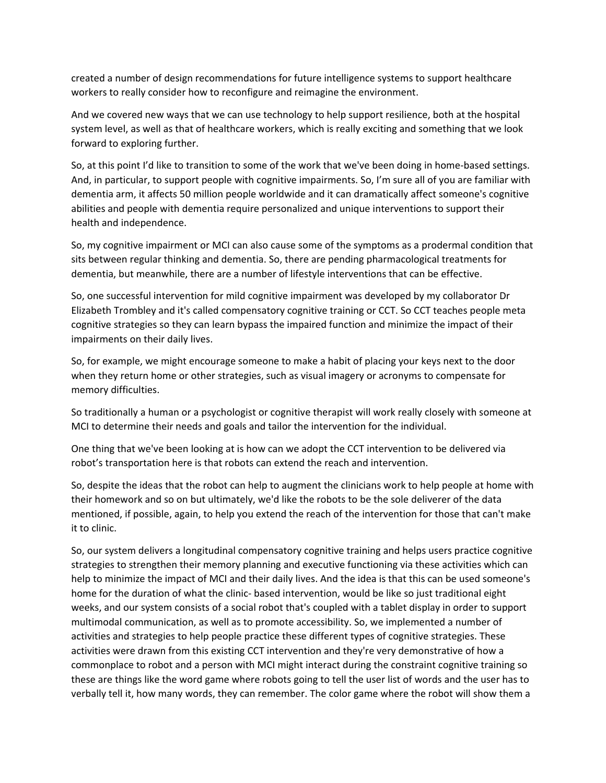created a number of design recommendations for future intelligence systems to support healthcare workers to really consider how to reconfigure and reimagine the environment.

And we covered new ways that we can use technology to help support resilience, both at the hospital system level, as well as that of healthcare workers, which is really exciting and something that we look forward to exploring further.

So, at this point I'd like to transition to some of the work that we've been doing in home-based settings. And, in particular, to support people with cognitive impairments. So, I'm sure all of you are familiar with dementia arm, it affects 50 million people worldwide and it can dramatically affect someone's cognitive abilities and people with dementia require personalized and unique interventions to support their health and independence.

So, my cognitive impairment or MCI can also cause some of the symptoms as a prodermal condition that sits between regular thinking and dementia. So, there are pending pharmacological treatments for dementia, but meanwhile, there are a number of lifestyle interventions that can be effective.

So, one successful intervention for mild cognitive impairment was developed by my collaborator Dr Elizabeth Trombley and it's called compensatory cognitive training or CCT. So CCT teaches people meta cognitive strategies so they can learn bypass the impaired function and minimize the impact of their impairments on their daily lives.

So, for example, we might encourage someone to make a habit of placing your keys next to the door when they return home or other strategies, such as visual imagery or acronyms to compensate for memory difficulties.

So traditionally a human or a psychologist or cognitive therapist will work really closely with someone at MCI to determine their needs and goals and tailor the intervention for the individual.

One thing that we've been looking at is how can we adopt the CCT intervention to be delivered via robot's transportation here is that robots can extend the reach and intervention.

So, despite the ideas that the robot can help to augment the clinicians work to help people at home with their homework and so on but ultimately, we'd like the robots to be the sole deliverer of the data mentioned, if possible, again, to help you extend the reach of the intervention for those that can't make it to clinic.

So, our system delivers a longitudinal compensatory cognitive training and helps users practice cognitive strategies to strengthen their memory planning and executive functioning via these activities which can help to minimize the impact of MCI and their daily lives. And the idea is that this can be used someone's home for the duration of what the clinic- based intervention, would be like so just traditional eight weeks, and our system consists of a social robot that's coupled with a tablet display in order to support multimodal communication, as well as to promote accessibility. So, we implemented a number of activities and strategies to help people practice these different types of cognitive strategies. These activities were drawn from this existing CCT intervention and they're very demonstrative of how a commonplace to robot and a person with MCI might interact during the constraint cognitive training so these are things like the word game where robots going to tell the user list of words and the user has to verbally tell it, how many words, they can remember. The color game where the robot will show them a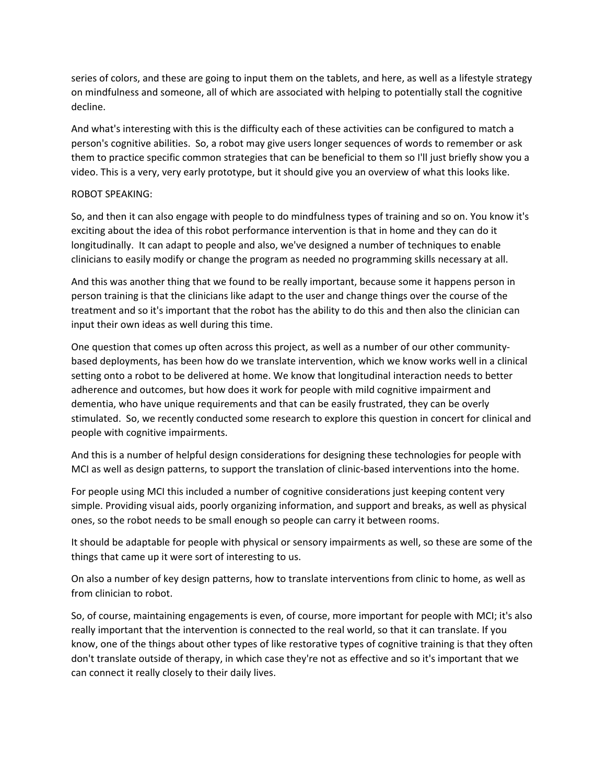series of colors, and these are going to input them on the tablets, and here, as well as a lifestyle strategy on mindfulness and someone, all of which are associated with helping to potentially stall the cognitive decline.

And what's interesting with this is the difficulty each of these activities can be configured to match a person's cognitive abilities. So, a robot may give users longer sequences of words to remember or ask them to practice specific common strategies that can be beneficial to them so I'll just briefly show you a video. This is a very, very early prototype, but it should give you an overview of what this looks like.

### ROBOT SPEAKING:

So, and then it can also engage with people to do mindfulness types of training and so on. You know it's exciting about the idea of this robot performance intervention is that in home and they can do it longitudinally. It can adapt to people and also, we've designed a number of techniques to enable clinicians to easily modify or change the program as needed no programming skills necessary at all.

And this was another thing that we found to be really important, because some it happens person in person training is that the clinicians like adapt to the user and change things over the course of the treatment and so it's important that the robot has the ability to do this and then also the clinician can input their own ideas as well during this time.

One question that comes up often across this project, as well as a number of our other community‐ based deployments, has been how do we translate intervention, which we know works well in a clinical setting onto a robot to be delivered at home. We know that longitudinal interaction needs to better adherence and outcomes, but how does it work for people with mild cognitive impairment and dementia, who have unique requirements and that can be easily frustrated, they can be overly stimulated. So, we recently conducted some research to explore this question in concert for clinical and people with cognitive impairments.

And this is a number of helpful design considerations for designing these technologies for people with MCI as well as design patterns, to support the translation of clinic‐based interventions into the home.

For people using MCI this included a number of cognitive considerations just keeping content very simple. Providing visual aids, poorly organizing information, and support and breaks, as well as physical ones, so the robot needs to be small enough so people can carry it between rooms.

It should be adaptable for people with physical or sensory impairments as well, so these are some of the things that came up it were sort of interesting to us.

On also a number of key design patterns, how to translate interventions from clinic to home, as well as from clinician to robot.

So, of course, maintaining engagements is even, of course, more important for people with MCI; it's also really important that the intervention is connected to the real world, so that it can translate. If you know, one of the things about other types of like restorative types of cognitive training is that they often don't translate outside of therapy, in which case they're not as effective and so it's important that we can connect it really closely to their daily lives.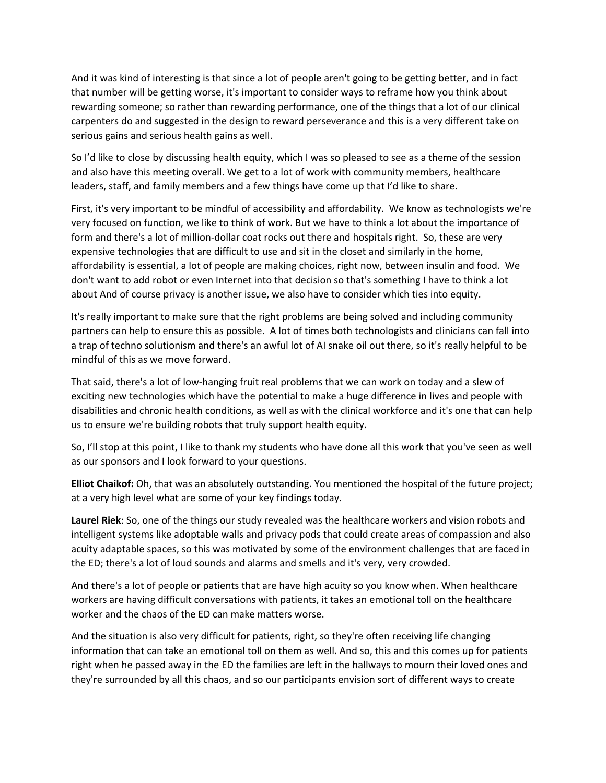And it was kind of interesting is that since a lot of people aren't going to be getting better, and in fact that number will be getting worse, it's important to consider ways to reframe how you think about rewarding someone; so rather than rewarding performance, one of the things that a lot of our clinical carpenters do and suggested in the design to reward perseverance and this is a very different take on serious gains and serious health gains as well.

So I'd like to close by discussing health equity, which I was so pleased to see as a theme of the session and also have this meeting overall. We get to a lot of work with community members, healthcare leaders, staff, and family members and a few things have come up that I'd like to share.

First, it's very important to be mindful of accessibility and affordability. We know as technologists we're very focused on function, we like to think of work. But we have to think a lot about the importance of form and there's a lot of million‐dollar coat rocks out there and hospitals right. So, these are very expensive technologies that are difficult to use and sit in the closet and similarly in the home, affordability is essential, a lot of people are making choices, right now, between insulin and food. We don't want to add robot or even Internet into that decision so that's something I have to think a lot about And of course privacy is another issue, we also have to consider which ties into equity.

It's really important to make sure that the right problems are being solved and including community partners can help to ensure this as possible. A lot of times both technologists and clinicians can fall into a trap of techno solutionism and there's an awful lot of AI snake oil out there, so it's really helpful to be mindful of this as we move forward.

That said, there's a lot of low‐hanging fruit real problems that we can work on today and a slew of exciting new technologies which have the potential to make a huge difference in lives and people with disabilities and chronic health conditions, as well as with the clinical workforce and it's one that can help us to ensure we're building robots that truly support health equity.

So, I'll stop at this point, I like to thank my students who have done all this work that you've seen as well as our sponsors and I look forward to your questions.

**Elliot Chaikof:** Oh, that was an absolutely outstanding. You mentioned the hospital of the future project; at a very high level what are some of your key findings today.

**Laurel Riek**: So, one of the things our study revealed was the healthcare workers and vision robots and intelligent systems like adoptable walls and privacy pods that could create areas of compassion and also acuity adaptable spaces, so this was motivated by some of the environment challenges that are faced in the ED; there's a lot of loud sounds and alarms and smells and it's very, very crowded.

And there's a lot of people or patients that are have high acuity so you know when. When healthcare workers are having difficult conversations with patients, it takes an emotional toll on the healthcare worker and the chaos of the ED can make matters worse.

And the situation is also very difficult for patients, right, so they're often receiving life changing information that can take an emotional toll on them as well. And so, this and this comes up for patients right when he passed away in the ED the families are left in the hallways to mourn their loved ones and they're surrounded by all this chaos, and so our participants envision sort of different ways to create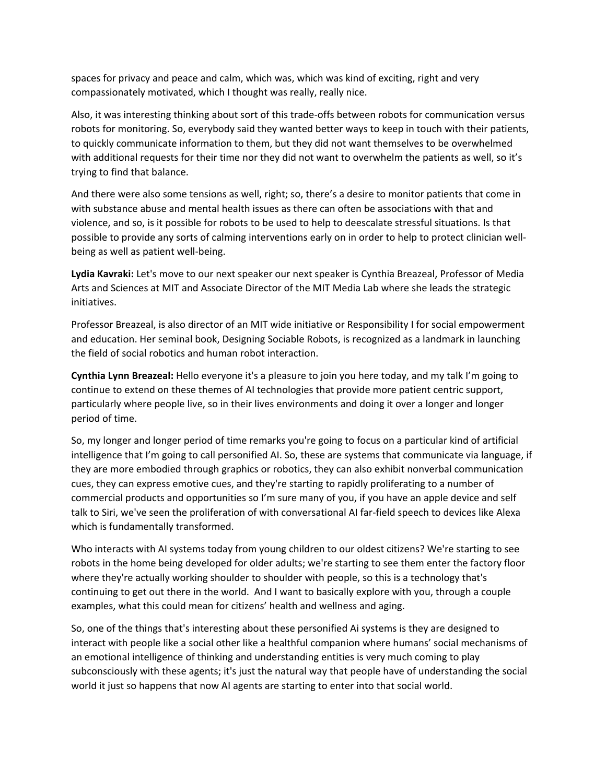spaces for privacy and peace and calm, which was, which was kind of exciting, right and very compassionately motivated, which I thought was really, really nice.

Also, it was interesting thinking about sort of this trade‐offs between robots for communication versus robots for monitoring. So, everybody said they wanted better ways to keep in touch with their patients, to quickly communicate information to them, but they did not want themselves to be overwhelmed with additional requests for their time nor they did not want to overwhelm the patients as well, so it's trying to find that balance.

And there were also some tensions as well, right; so, there's a desire to monitor patients that come in with substance abuse and mental health issues as there can often be associations with that and violence, and so, is it possible for robots to be used to help to deescalate stressful situations. Is that possible to provide any sorts of calming interventions early on in order to help to protect clinician well‐ being as well as patient well‐being.

**Lydia Kavraki:** Let's move to our next speaker our next speaker is Cynthia Breazeal, Professor of Media Arts and Sciences at MIT and Associate Director of the MIT Media Lab where she leads the strategic initiatives.

Professor Breazeal, is also director of an MIT wide initiative or Responsibility I for social empowerment and education. Her seminal book, Designing Sociable Robots, is recognized as a landmark in launching the field of social robotics and human robot interaction.

**Cynthia Lynn Breazeal:** Hello everyone it's a pleasure to join you here today, and my talk I'm going to continue to extend on these themes of AI technologies that provide more patient centric support, particularly where people live, so in their lives environments and doing it over a longer and longer period of time.

So, my longer and longer period of time remarks you're going to focus on a particular kind of artificial intelligence that I'm going to call personified AI. So, these are systems that communicate via language, if they are more embodied through graphics or robotics, they can also exhibit nonverbal communication cues, they can express emotive cues, and they're starting to rapidly proliferating to a number of commercial products and opportunities so I'm sure many of you, if you have an apple device and self talk to Siri, we've seen the proliferation of with conversational AI far‐field speech to devices like Alexa which is fundamentally transformed.

Who interacts with AI systems today from young children to our oldest citizens? We're starting to see robots in the home being developed for older adults; we're starting to see them enter the factory floor where they're actually working shoulder to shoulder with people, so this is a technology that's continuing to get out there in the world. And I want to basically explore with you, through a couple examples, what this could mean for citizens' health and wellness and aging.

So, one of the things that's interesting about these personified Ai systems is they are designed to interact with people like a social other like a healthful companion where humans' social mechanisms of an emotional intelligence of thinking and understanding entities is very much coming to play subconsciously with these agents; it's just the natural way that people have of understanding the social world it just so happens that now AI agents are starting to enter into that social world.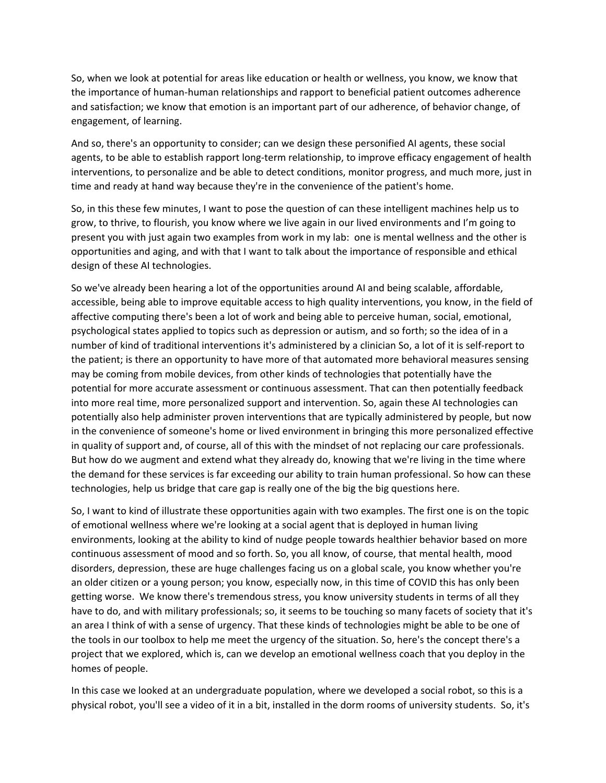So, when we look at potential for areas like education or health or wellness, you know, we know that the importance of human‐human relationships and rapport to beneficial patient outcomes adherence and satisfaction; we know that emotion is an important part of our adherence, of behavior change, of engagement, of learning.

And so, there's an opportunity to consider; can we design these personified AI agents, these social agents, to be able to establish rapport long‐term relationship, to improve efficacy engagement of health interventions, to personalize and be able to detect conditions, monitor progress, and much more, just in time and ready at hand way because they're in the convenience of the patient's home.

So, in this these few minutes, I want to pose the question of can these intelligent machines help us to grow, to thrive, to flourish, you know where we live again in our lived environments and I'm going to present you with just again two examples from work in my lab: one is mental wellness and the other is opportunities and aging, and with that I want to talk about the importance of responsible and ethical design of these AI technologies.

So we've already been hearing a lot of the opportunities around AI and being scalable, affordable, accessible, being able to improve equitable access to high quality interventions, you know, in the field of affective computing there's been a lot of work and being able to perceive human, social, emotional, psychological states applied to topics such as depression or autism, and so forth; so the idea of in a number of kind of traditional interventions it's administered by a clinician So, a lot of it is self‐report to the patient; is there an opportunity to have more of that automated more behavioral measures sensing may be coming from mobile devices, from other kinds of technologies that potentially have the potential for more accurate assessment or continuous assessment. That can then potentially feedback into more real time, more personalized support and intervention. So, again these AI technologies can potentially also help administer proven interventions that are typically administered by people, but now in the convenience of someone's home or lived environment in bringing this more personalized effective in quality of support and, of course, all of this with the mindset of not replacing our care professionals. But how do we augment and extend what they already do, knowing that we're living in the time where the demand for these services is far exceeding our ability to train human professional. So how can these technologies, help us bridge that care gap is really one of the big the big questions here.

So, I want to kind of illustrate these opportunities again with two examples. The first one is on the topic of emotional wellness where we're looking at a social agent that is deployed in human living environments, looking at the ability to kind of nudge people towards healthier behavior based on more continuous assessment of mood and so forth. So, you all know, of course, that mental health, mood disorders, depression, these are huge challenges facing us on a global scale, you know whether you're an older citizen or a young person; you know, especially now, in this time of COVID this has only been getting worse. We know there's tremendous stress, you know university students in terms of all they have to do, and with military professionals; so, it seems to be touching so many facets of society that it's an area I think of with a sense of urgency. That these kinds of technologies might be able to be one of the tools in our toolbox to help me meet the urgency of the situation. So, here's the concept there's a project that we explored, which is, can we develop an emotional wellness coach that you deploy in the homes of people.

In this case we looked at an undergraduate population, where we developed a social robot, so this is a physical robot, you'll see a video of it in a bit, installed in the dorm rooms of university students. So, it's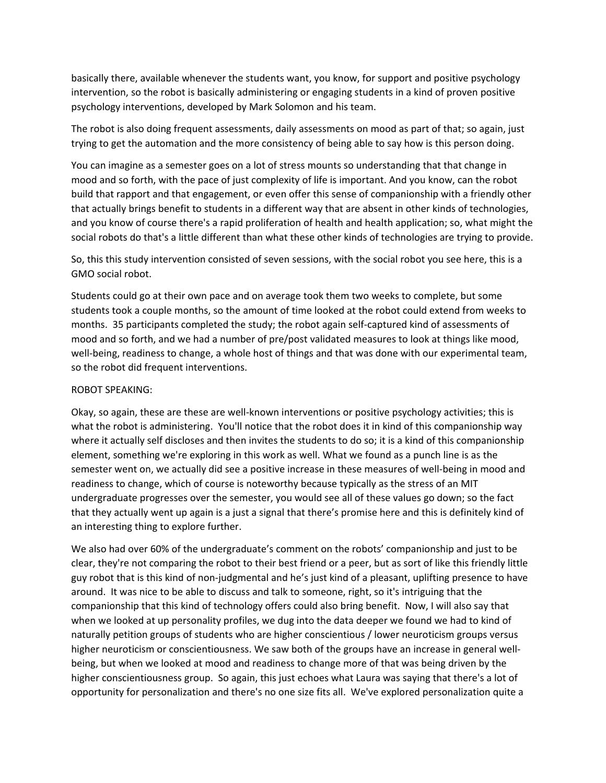basically there, available whenever the students want, you know, for support and positive psychology intervention, so the robot is basically administering or engaging students in a kind of proven positive psychology interventions, developed by Mark Solomon and his team.

The robot is also doing frequent assessments, daily assessments on mood as part of that; so again, just trying to get the automation and the more consistency of being able to say how is this person doing.

You can imagine as a semester goes on a lot of stress mounts so understanding that that change in mood and so forth, with the pace of just complexity of life is important. And you know, can the robot build that rapport and that engagement, or even offer this sense of companionship with a friendly other that actually brings benefit to students in a different way that are absent in other kinds of technologies, and you know of course there's a rapid proliferation of health and health application; so, what might the social robots do that's a little different than what these other kinds of technologies are trying to provide.

# So, this this study intervention consisted of seven sessions, with the social robot you see here, this is a GMO social robot.

Students could go at their own pace and on average took them two weeks to complete, but some students took a couple months, so the amount of time looked at the robot could extend from weeks to months. 35 participants completed the study; the robot again self‐captured kind of assessments of mood and so forth, and we had a number of pre/post validated measures to look at things like mood, well-being, readiness to change, a whole host of things and that was done with our experimental team, so the robot did frequent interventions.

### ROBOT SPEAKING:

Okay, so again, these are these are well-known interventions or positive psychology activities; this is what the robot is administering. You'll notice that the robot does it in kind of this companionship way where it actually self discloses and then invites the students to do so; it is a kind of this companionship element, something we're exploring in this work as well. What we found as a punch line is as the semester went on, we actually did see a positive increase in these measures of well‐being in mood and readiness to change, which of course is noteworthy because typically as the stress of an MIT undergraduate progresses over the semester, you would see all of these values go down; so the fact that they actually went up again is a just a signal that there's promise here and this is definitely kind of an interesting thing to explore further.

We also had over 60% of the undergraduate's comment on the robots' companionship and just to be clear, they're not comparing the robot to their best friend or a peer, but as sort of like this friendly little guy robot that is this kind of non‐judgmental and he's just kind of a pleasant, uplifting presence to have around. It was nice to be able to discuss and talk to someone, right, so it's intriguing that the companionship that this kind of technology offers could also bring benefit. Now, I will also say that when we looked at up personality profiles, we dug into the data deeper we found we had to kind of naturally petition groups of students who are higher conscientious / lower neuroticism groups versus higher neuroticism or conscientiousness. We saw both of the groups have an increase in general wellbeing, but when we looked at mood and readiness to change more of that was being driven by the higher conscientiousness group. So again, this just echoes what Laura was saying that there's a lot of opportunity for personalization and there's no one size fits all. We've explored personalization quite a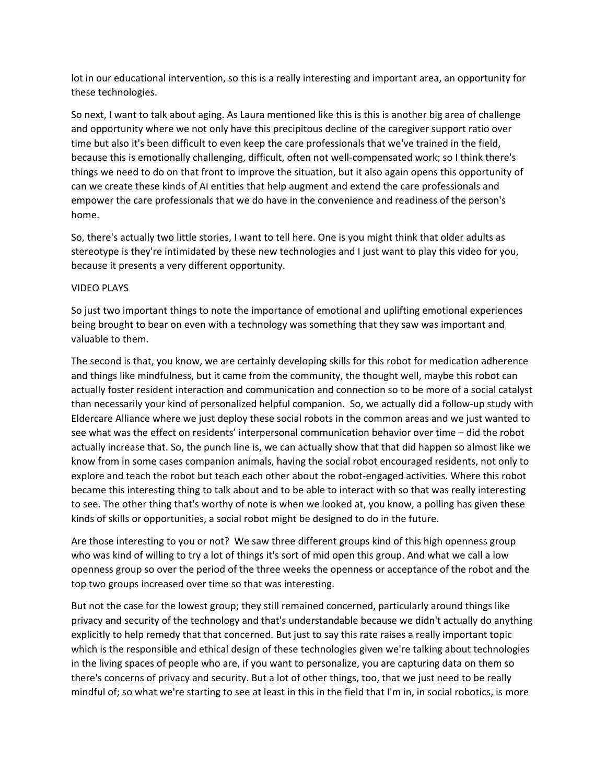lot in our educational intervention, so this is a really interesting and important area, an opportunity for these technologies.

So next, I want to talk about aging. As Laura mentioned like this is this is another big area of challenge and opportunity where we not only have this precipitous decline of the caregiver support ratio over time but also it's been difficult to even keep the care professionals that we've trained in the field, because this is emotionally challenging, difficult, often not well‐compensated work; so I think there's things we need to do on that front to improve the situation, but it also again opens this opportunity of can we create these kinds of AI entities that help augment and extend the care professionals and empower the care professionals that we do have in the convenience and readiness of the person's home.

So, there's actually two little stories, I want to tell here. One is you might think that older adults as stereotype is they're intimidated by these new technologies and I just want to play this video for you, because it presents a very different opportunity.

## VIDEO PLAYS

So just two important things to note the importance of emotional and uplifting emotional experiences being brought to bear on even with a technology was something that they saw was important and valuable to them.

The second is that, you know, we are certainly developing skills for this robot for medication adherence and things like mindfulness, but it came from the community, the thought well, maybe this robot can actually foster resident interaction and communication and connection so to be more of a social catalyst than necessarily your kind of personalized helpful companion. So, we actually did a follow‐up study with Eldercare Alliance where we just deploy these social robots in the common areas and we just wanted to see what was the effect on residents' interpersonal communication behavior over time – did the robot actually increase that. So, the punch line is, we can actually show that that did happen so almost like we know from in some cases companion animals, having the social robot encouraged residents, not only to explore and teach the robot but teach each other about the robot‐engaged activities. Where this robot became this interesting thing to talk about and to be able to interact with so that was really interesting to see. The other thing that's worthy of note is when we looked at, you know, a polling has given these kinds of skills or opportunities, a social robot might be designed to do in the future.

Are those interesting to you or not? We saw three different groups kind of this high openness group who was kind of willing to try a lot of things it's sort of mid open this group. And what we call a low openness group so over the period of the three weeks the openness or acceptance of the robot and the top two groups increased over time so that was interesting.

But not the case for the lowest group; they still remained concerned, particularly around things like privacy and security of the technology and that's understandable because we didn't actually do anything explicitly to help remedy that that concerned. But just to say this rate raises a really important topic which is the responsible and ethical design of these technologies given we're talking about technologies in the living spaces of people who are, if you want to personalize, you are capturing data on them so there's concerns of privacy and security. But a lot of other things, too, that we just need to be really mindful of; so what we're starting to see at least in this in the field that I'm in, in social robotics, is more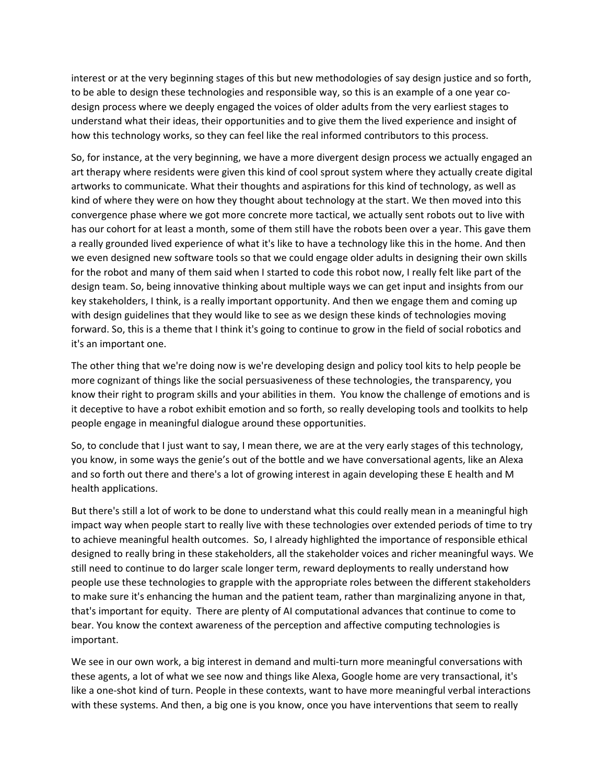interest or at the very beginning stages of this but new methodologies of say design justice and so forth, to be able to design these technologies and responsible way, so this is an example of a one year co‐ design process where we deeply engaged the voices of older adults from the very earliest stages to understand what their ideas, their opportunities and to give them the lived experience and insight of how this technology works, so they can feel like the real informed contributors to this process.

So, for instance, at the very beginning, we have a more divergent design process we actually engaged an art therapy where residents were given this kind of cool sprout system where they actually create digital artworks to communicate. What their thoughts and aspirations for this kind of technology, as well as kind of where they were on how they thought about technology at the start. We then moved into this convergence phase where we got more concrete more tactical, we actually sent robots out to live with has our cohort for at least a month, some of them still have the robots been over a year. This gave them a really grounded lived experience of what it's like to have a technology like this in the home. And then we even designed new software tools so that we could engage older adults in designing their own skills for the robot and many of them said when I started to code this robot now, I really felt like part of the design team. So, being innovative thinking about multiple ways we can get input and insights from our key stakeholders, I think, is a really important opportunity. And then we engage them and coming up with design guidelines that they would like to see as we design these kinds of technologies moving forward. So, this is a theme that I think it's going to continue to grow in the field of social robotics and it's an important one.

The other thing that we're doing now is we're developing design and policy tool kits to help people be more cognizant of things like the social persuasiveness of these technologies, the transparency, you know their right to program skills and your abilities in them. You know the challenge of emotions and is it deceptive to have a robot exhibit emotion and so forth, so really developing tools and toolkits to help people engage in meaningful dialogue around these opportunities.

So, to conclude that I just want to say, I mean there, we are at the very early stages of this technology, you know, in some ways the genie's out of the bottle and we have conversational agents, like an Alexa and so forth out there and there's a lot of growing interest in again developing these E health and M health applications.

But there's still a lot of work to be done to understand what this could really mean in a meaningful high impact way when people start to really live with these technologies over extended periods of time to try to achieve meaningful health outcomes. So, I already highlighted the importance of responsible ethical designed to really bring in these stakeholders, all the stakeholder voices and richer meaningful ways. We still need to continue to do larger scale longer term, reward deployments to really understand how people use these technologies to grapple with the appropriate roles between the different stakeholders to make sure it's enhancing the human and the patient team, rather than marginalizing anyone in that, that's important for equity. There are plenty of AI computational advances that continue to come to bear. You know the context awareness of the perception and affective computing technologies is important.

We see in our own work, a big interest in demand and multi-turn more meaningful conversations with these agents, a lot of what we see now and things like Alexa, Google home are very transactional, it's like a one-shot kind of turn. People in these contexts, want to have more meaningful verbal interactions with these systems. And then, a big one is you know, once you have interventions that seem to really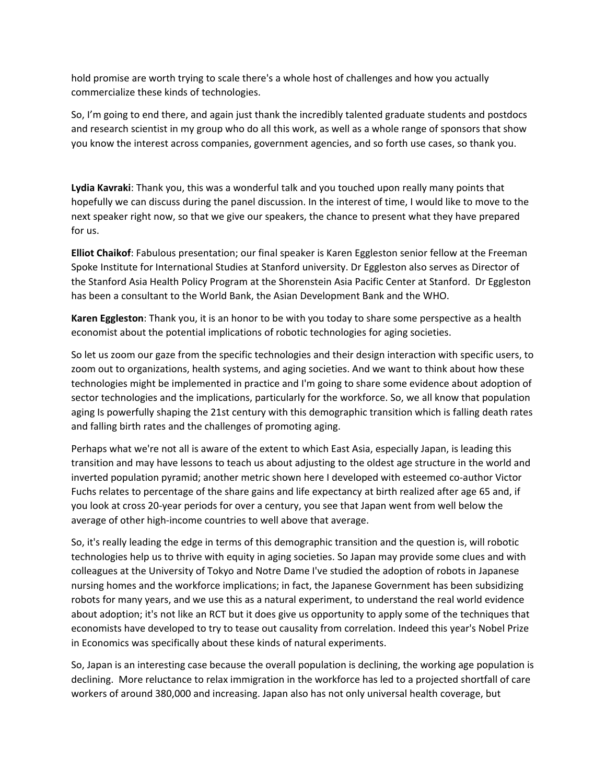hold promise are worth trying to scale there's a whole host of challenges and how you actually commercialize these kinds of technologies.

So, I'm going to end there, and again just thank the incredibly talented graduate students and postdocs and research scientist in my group who do all this work, as well as a whole range of sponsors that show you know the interest across companies, government agencies, and so forth use cases, so thank you.

**Lydia Kavraki**: Thank you, this was a wonderful talk and you touched upon really many points that hopefully we can discuss during the panel discussion. In the interest of time, I would like to move to the next speaker right now, so that we give our speakers, the chance to present what they have prepared for us.

**Elliot Chaikof**: Fabulous presentation; our final speaker is Karen Eggleston senior fellow at the Freeman Spoke Institute for International Studies at Stanford university. Dr Eggleston also serves as Director of the Stanford Asia Health Policy Program at the Shorenstein Asia Pacific Center at Stanford. Dr Eggleston has been a consultant to the World Bank, the Asian Development Bank and the WHO.

**Karen Eggleston**: Thank you, it is an honor to be with you today to share some perspective as a health economist about the potential implications of robotic technologies for aging societies.

So let us zoom our gaze from the specific technologies and their design interaction with specific users, to zoom out to organizations, health systems, and aging societies. And we want to think about how these technologies might be implemented in practice and I'm going to share some evidence about adoption of sector technologies and the implications, particularly for the workforce. So, we all know that population aging Is powerfully shaping the 21st century with this demographic transition which is falling death rates and falling birth rates and the challenges of promoting aging.

Perhaps what we're not all is aware of the extent to which East Asia, especially Japan, is leading this transition and may have lessons to teach us about adjusting to the oldest age structure in the world and inverted population pyramid; another metric shown here I developed with esteemed co-author Victor Fuchs relates to percentage of the share gains and life expectancy at birth realized after age 65 and, if you look at cross 20‐year periods for over a century, you see that Japan went from well below the average of other high‐income countries to well above that average.

So, it's really leading the edge in terms of this demographic transition and the question is, will robotic technologies help us to thrive with equity in aging societies. So Japan may provide some clues and with colleagues at the University of Tokyo and Notre Dame I've studied the adoption of robots in Japanese nursing homes and the workforce implications; in fact, the Japanese Government has been subsidizing robots for many years, and we use this as a natural experiment, to understand the real world evidence about adoption; it's not like an RCT but it does give us opportunity to apply some of the techniques that economists have developed to try to tease out causality from correlation. Indeed this year's Nobel Prize in Economics was specifically about these kinds of natural experiments.

So, Japan is an interesting case because the overall population is declining, the working age population is declining. More reluctance to relax immigration in the workforce has led to a projected shortfall of care workers of around 380,000 and increasing. Japan also has not only universal health coverage, but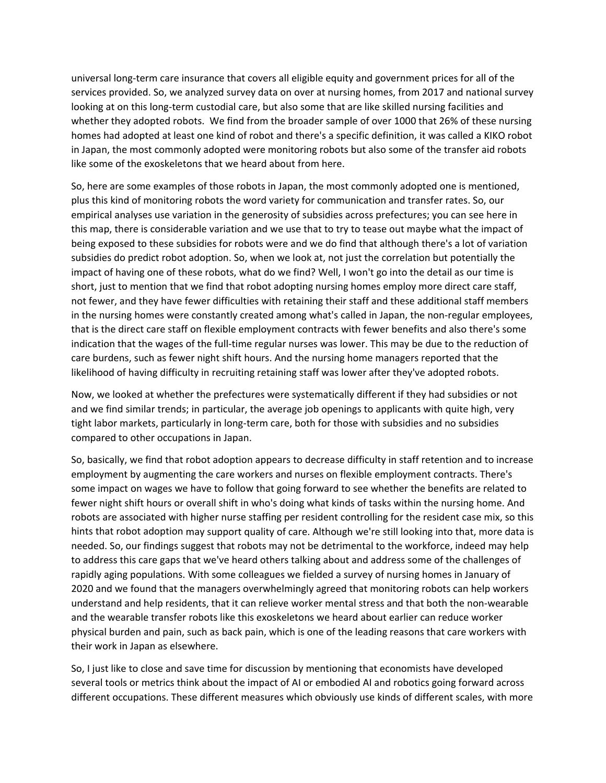universal long‐term care insurance that covers all eligible equity and government prices for all of the services provided. So, we analyzed survey data on over at nursing homes, from 2017 and national survey looking at on this long‐term custodial care, but also some that are like skilled nursing facilities and whether they adopted robots. We find from the broader sample of over 1000 that 26% of these nursing homes had adopted at least one kind of robot and there's a specific definition, it was called a KIKO robot in Japan, the most commonly adopted were monitoring robots but also some of the transfer aid robots like some of the exoskeletons that we heard about from here.

So, here are some examples of those robots in Japan, the most commonly adopted one is mentioned, plus this kind of monitoring robots the word variety for communication and transfer rates. So, our empirical analyses use variation in the generosity of subsidies across prefectures; you can see here in this map, there is considerable variation and we use that to try to tease out maybe what the impact of being exposed to these subsidies for robots were and we do find that although there's a lot of variation subsidies do predict robot adoption. So, when we look at, not just the correlation but potentially the impact of having one of these robots, what do we find? Well, I won't go into the detail as our time is short, just to mention that we find that robot adopting nursing homes employ more direct care staff, not fewer, and they have fewer difficulties with retaining their staff and these additional staff members in the nursing homes were constantly created among what's called in Japan, the non‐regular employees, that is the direct care staff on flexible employment contracts with fewer benefits and also there's some indication that the wages of the full‐time regular nurses was lower. This may be due to the reduction of care burdens, such as fewer night shift hours. And the nursing home managers reported that the likelihood of having difficulty in recruiting retaining staff was lower after they've adopted robots.

Now, we looked at whether the prefectures were systematically different if they had subsidies or not and we find similar trends; in particular, the average job openings to applicants with quite high, very tight labor markets, particularly in long‐term care, both for those with subsidies and no subsidies compared to other occupations in Japan.

So, basically, we find that robot adoption appears to decrease difficulty in staff retention and to increase employment by augmenting the care workers and nurses on flexible employment contracts. There's some impact on wages we have to follow that going forward to see whether the benefits are related to fewer night shift hours or overall shift in who's doing what kinds of tasks within the nursing home. And robots are associated with higher nurse staffing per resident controlling for the resident case mix, so this hints that robot adoption may support quality of care. Although we're still looking into that, more data is needed. So, our findings suggest that robots may not be detrimental to the workforce, indeed may help to address this care gaps that we've heard others talking about and address some of the challenges of rapidly aging populations. With some colleagues we fielded a survey of nursing homes in January of 2020 and we found that the managers overwhelmingly agreed that monitoring robots can help workers understand and help residents, that it can relieve worker mental stress and that both the non‐wearable and the wearable transfer robots like this exoskeletons we heard about earlier can reduce worker physical burden and pain, such as back pain, which is one of the leading reasons that care workers with their work in Japan as elsewhere.

So, I just like to close and save time for discussion by mentioning that economists have developed several tools or metrics think about the impact of AI or embodied AI and robotics going forward across different occupations. These different measures which obviously use kinds of different scales, with more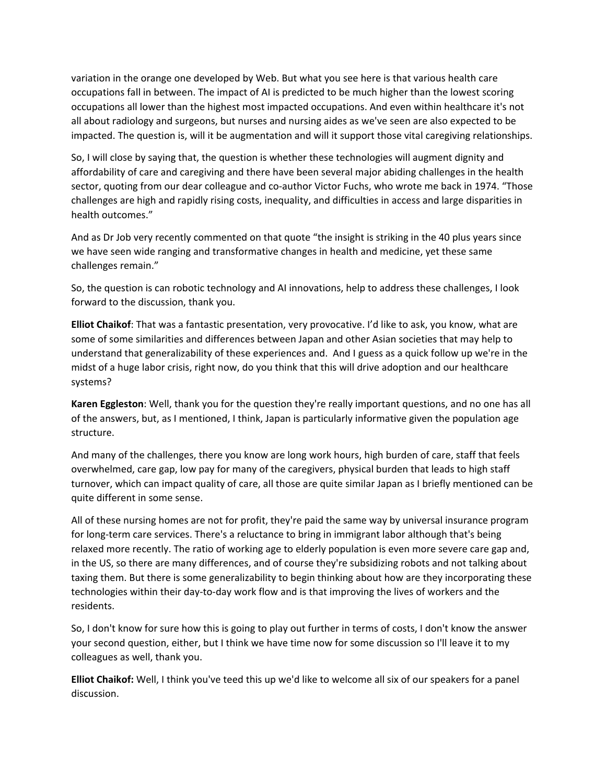variation in the orange one developed by Web. But what you see here is that various health care occupations fall in between. The impact of AI is predicted to be much higher than the lowest scoring occupations all lower than the highest most impacted occupations. And even within healthcare it's not all about radiology and surgeons, but nurses and nursing aides as we've seen are also expected to be impacted. The question is, will it be augmentation and will it support those vital caregiving relationships.

So, I will close by saying that, the question is whether these technologies will augment dignity and affordability of care and caregiving and there have been several major abiding challenges in the health sector, quoting from our dear colleague and co-author Victor Fuchs, who wrote me back in 1974. "Those challenges are high and rapidly rising costs, inequality, and difficulties in access and large disparities in health outcomes."

And as Dr Job very recently commented on that quote "the insight is striking in the 40 plus years since we have seen wide ranging and transformative changes in health and medicine, yet these same challenges remain."

So, the question is can robotic technology and AI innovations, help to address these challenges, I look forward to the discussion, thank you.

**Elliot Chaikof**: That was a fantastic presentation, very provocative. I'd like to ask, you know, what are some of some similarities and differences between Japan and other Asian societies that may help to understand that generalizability of these experiences and. And I guess as a quick follow up we're in the midst of a huge labor crisis, right now, do you think that this will drive adoption and our healthcare systems?

**Karen Eggleston**: Well, thank you for the question they're really important questions, and no one has all of the answers, but, as I mentioned, I think, Japan is particularly informative given the population age structure.

And many of the challenges, there you know are long work hours, high burden of care, staff that feels overwhelmed, care gap, low pay for many of the caregivers, physical burden that leads to high staff turnover, which can impact quality of care, all those are quite similar Japan as I briefly mentioned can be quite different in some sense.

All of these nursing homes are not for profit, they're paid the same way by universal insurance program for long-term care services. There's a reluctance to bring in immigrant labor although that's being relaxed more recently. The ratio of working age to elderly population is even more severe care gap and, in the US, so there are many differences, and of course they're subsidizing robots and not talking about taxing them. But there is some generalizability to begin thinking about how are they incorporating these technologies within their day‐to‐day work flow and is that improving the lives of workers and the residents.

So, I don't know for sure how this is going to play out further in terms of costs, I don't know the answer your second question, either, but I think we have time now for some discussion so I'll leave it to my colleagues as well, thank you.

**Elliot Chaikof:** Well, I think you've teed this up we'd like to welcome all six of our speakers for a panel discussion.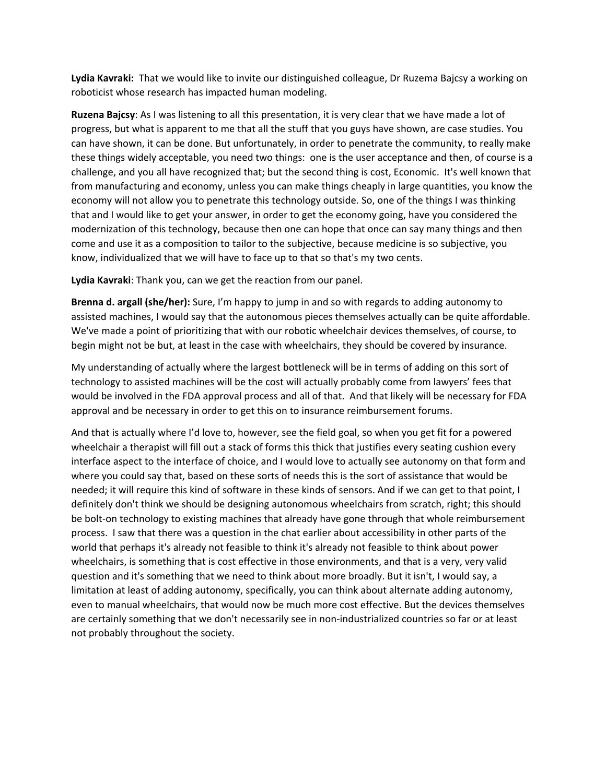**Lydia Kavraki:** That we would like to invite our distinguished colleague, Dr Ruzema Bajcsy a working on roboticist whose research has impacted human modeling.

**Ruzena Bajcsy**: As I was listening to all this presentation, it is very clear that we have made a lot of progress, but what is apparent to me that all the stuff that you guys have shown, are case studies. You can have shown, it can be done. But unfortunately, in order to penetrate the community, to really make these things widely acceptable, you need two things: one is the user acceptance and then, of course is a challenge, and you all have recognized that; but the second thing is cost, Economic. It's well known that from manufacturing and economy, unless you can make things cheaply in large quantities, you know the economy will not allow you to penetrate this technology outside. So, one of the things I was thinking that and I would like to get your answer, in order to get the economy going, have you considered the modernization of this technology, because then one can hope that once can say many things and then come and use it as a composition to tailor to the subjective, because medicine is so subjective, you know, individualized that we will have to face up to that so that's my two cents.

**Lydia Kavraki**: Thank you, can we get the reaction from our panel.

**Brenna d. argall (she/her):** Sure, I'm happy to jump in and so with regards to adding autonomy to assisted machines, I would say that the autonomous pieces themselves actually can be quite affordable. We've made a point of prioritizing that with our robotic wheelchair devices themselves, of course, to begin might not be but, at least in the case with wheelchairs, they should be covered by insurance.

My understanding of actually where the largest bottleneck will be in terms of adding on this sort of technology to assisted machines will be the cost will actually probably come from lawyers' fees that would be involved in the FDA approval process and all of that. And that likely will be necessary for FDA approval and be necessary in order to get this on to insurance reimbursement forums.

And that is actually where I'd love to, however, see the field goal, so when you get fit for a powered wheelchair a therapist will fill out a stack of forms this thick that justifies every seating cushion every interface aspect to the interface of choice, and I would love to actually see autonomy on that form and where you could say that, based on these sorts of needs this is the sort of assistance that would be needed; it will require this kind of software in these kinds of sensors. And if we can get to that point, I definitely don't think we should be designing autonomous wheelchairs from scratch, right; this should be bolt-on technology to existing machines that already have gone through that whole reimbursement process. I saw that there was a question in the chat earlier about accessibility in other parts of the world that perhaps it's already not feasible to think it's already not feasible to think about power wheelchairs, is something that is cost effective in those environments, and that is a very, very valid question and it's something that we need to think about more broadly. But it isn't, I would say, a limitation at least of adding autonomy, specifically, you can think about alternate adding autonomy, even to manual wheelchairs, that would now be much more cost effective. But the devices themselves are certainly something that we don't necessarily see in non-industrialized countries so far or at least not probably throughout the society.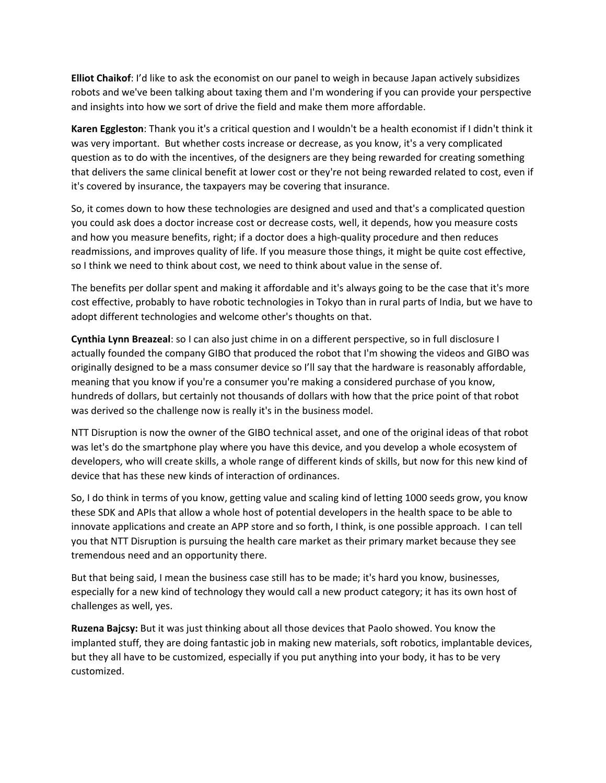**Elliot Chaikof**: I'd like to ask the economist on our panel to weigh in because Japan actively subsidizes robots and we've been talking about taxing them and I'm wondering if you can provide your perspective and insights into how we sort of drive the field and make them more affordable.

**Karen Eggleston**: Thank you it's a critical question and I wouldn't be a health economist if I didn't think it was very important. But whether costs increase or decrease, as you know, it's a very complicated question as to do with the incentives, of the designers are they being rewarded for creating something that delivers the same clinical benefit at lower cost or they're not being rewarded related to cost, even if it's covered by insurance, the taxpayers may be covering that insurance.

So, it comes down to how these technologies are designed and used and that's a complicated question you could ask does a doctor increase cost or decrease costs, well, it depends, how you measure costs and how you measure benefits, right; if a doctor does a high-quality procedure and then reduces readmissions, and improves quality of life. If you measure those things, it might be quite cost effective, so I think we need to think about cost, we need to think about value in the sense of.

The benefits per dollar spent and making it affordable and it's always going to be the case that it's more cost effective, probably to have robotic technologies in Tokyo than in rural parts of India, but we have to adopt different technologies and welcome other's thoughts on that.

**Cynthia Lynn Breazeal**: so I can also just chime in on a different perspective, so in full disclosure I actually founded the company GIBO that produced the robot that I'm showing the videos and GIBO was originally designed to be a mass consumer device so I'll say that the hardware is reasonably affordable, meaning that you know if you're a consumer you're making a considered purchase of you know, hundreds of dollars, but certainly not thousands of dollars with how that the price point of that robot was derived so the challenge now is really it's in the business model.

NTT Disruption is now the owner of the GIBO technical asset, and one of the original ideas of that robot was let's do the smartphone play where you have this device, and you develop a whole ecosystem of developers, who will create skills, a whole range of different kinds of skills, but now for this new kind of device that has these new kinds of interaction of ordinances.

So, I do think in terms of you know, getting value and scaling kind of letting 1000 seeds grow, you know these SDK and APIs that allow a whole host of potential developers in the health space to be able to innovate applications and create an APP store and so forth, I think, is one possible approach. I can tell you that NTT Disruption is pursuing the health care market as their primary market because they see tremendous need and an opportunity there.

But that being said, I mean the business case still has to be made; it's hard you know, businesses, especially for a new kind of technology they would call a new product category; it has its own host of challenges as well, yes.

**Ruzena Bajcsy:** But it was just thinking about all those devices that Paolo showed. You know the implanted stuff, they are doing fantastic job in making new materials, soft robotics, implantable devices, but they all have to be customized, especially if you put anything into your body, it has to be very customized.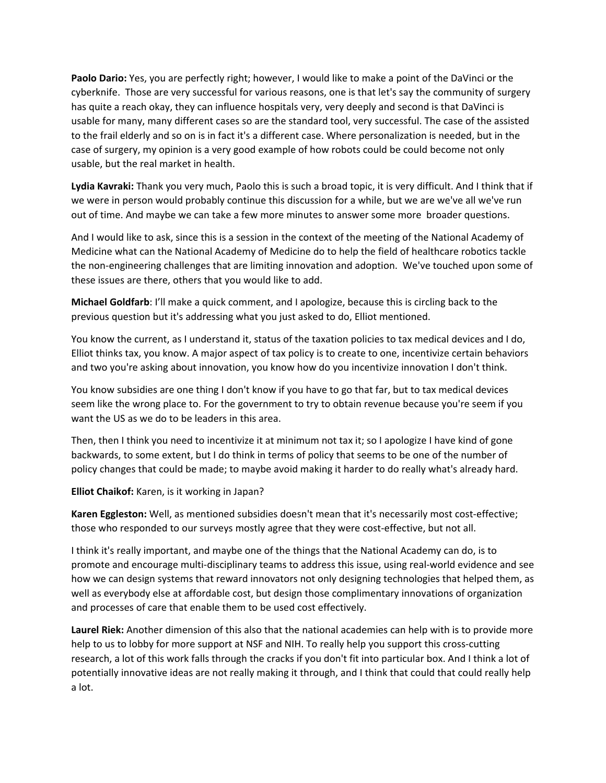**Paolo Dario:** Yes, you are perfectly right; however, I would like to make a point of the DaVinci or the cyberknife. Those are very successful for various reasons, one is that let's say the community of surgery has quite a reach okay, they can influence hospitals very, very deeply and second is that DaVinci is usable for many, many different cases so are the standard tool, very successful. The case of the assisted to the frail elderly and so on is in fact it's a different case. Where personalization is needed, but in the case of surgery, my opinion is a very good example of how robots could be could become not only usable, but the real market in health.

**Lydia Kavraki:** Thank you very much, Paolo this is such a broad topic, it is very difficult. And I think that if we were in person would probably continue this discussion for a while, but we are we've all we've run out of time. And maybe we can take a few more minutes to answer some more broader questions.

And I would like to ask, since this is a session in the context of the meeting of the National Academy of Medicine what can the National Academy of Medicine do to help the field of healthcare robotics tackle the non‐engineering challenges that are limiting innovation and adoption. We've touched upon some of these issues are there, others that you would like to add.

**Michael Goldfarb**: I'll make a quick comment, and I apologize, because this is circling back to the previous question but it's addressing what you just asked to do, Elliot mentioned.

You know the current, as I understand it, status of the taxation policies to tax medical devices and I do, Elliot thinks tax, you know. A major aspect of tax policy is to create to one, incentivize certain behaviors and two you're asking about innovation, you know how do you incentivize innovation I don't think.

You know subsidies are one thing I don't know if you have to go that far, but to tax medical devices seem like the wrong place to. For the government to try to obtain revenue because you're seem if you want the US as we do to be leaders in this area.

Then, then I think you need to incentivize it at minimum not tax it; so I apologize I have kind of gone backwards, to some extent, but I do think in terms of policy that seems to be one of the number of policy changes that could be made; to maybe avoid making it harder to do really what's already hard.

**Elliot Chaikof:** Karen, is it working in Japan?

**Karen Eggleston:** Well, as mentioned subsidies doesn't mean that it's necessarily most cost‐effective; those who responded to our surveys mostly agree that they were cost-effective, but not all.

I think it's really important, and maybe one of the things that the National Academy can do, is to promote and encourage multi‐disciplinary teams to address this issue, using real‐world evidence and see how we can design systems that reward innovators not only designing technologies that helped them, as well as everybody else at affordable cost, but design those complimentary innovations of organization and processes of care that enable them to be used cost effectively.

**Laurel Riek:** Another dimension of this also that the national academies can help with is to provide more help to us to lobby for more support at NSF and NIH. To really help you support this cross‐cutting research, a lot of this work falls through the cracks if you don't fit into particular box. And I think a lot of potentially innovative ideas are not really making it through, and I think that could that could really help a lot.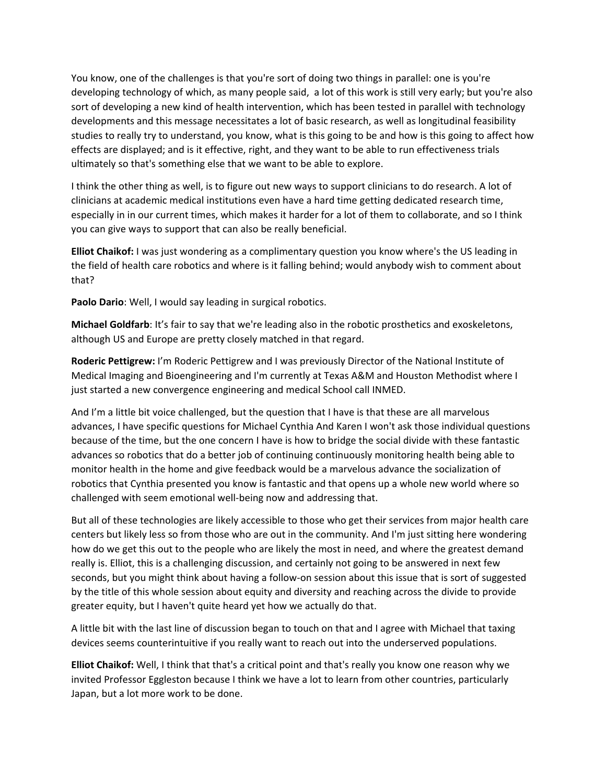You know, one of the challenges is that you're sort of doing two things in parallel: one is you're developing technology of which, as many people said, a lot of this work is still very early; but you're also sort of developing a new kind of health intervention, which has been tested in parallel with technology developments and this message necessitates a lot of basic research, as well as longitudinal feasibility studies to really try to understand, you know, what is this going to be and how is this going to affect how effects are displayed; and is it effective, right, and they want to be able to run effectiveness trials ultimately so that's something else that we want to be able to explore.

I think the other thing as well, is to figure out new ways to support clinicians to do research. A lot of clinicians at academic medical institutions even have a hard time getting dedicated research time, especially in in our current times, which makes it harder for a lot of them to collaborate, and so I think you can give ways to support that can also be really beneficial.

**Elliot Chaikof:** I was just wondering as a complimentary question you know where's the US leading in the field of health care robotics and where is it falling behind; would anybody wish to comment about that?

**Paolo Dario**: Well, I would say leading in surgical robotics.

**Michael Goldfarb**: It's fair to say that we're leading also in the robotic prosthetics and exoskeletons, although US and Europe are pretty closely matched in that regard.

**Roderic Pettigrew:** I'm Roderic Pettigrew and I was previously Director of the National Institute of Medical Imaging and Bioengineering and I'm currently at Texas A&M and Houston Methodist where I just started a new convergence engineering and medical School call INMED.

And I'm a little bit voice challenged, but the question that I have is that these are all marvelous advances, I have specific questions for Michael Cynthia And Karen I won't ask those individual questions because of the time, but the one concern I have is how to bridge the social divide with these fantastic advances so robotics that do a better job of continuing continuously monitoring health being able to monitor health in the home and give feedback would be a marvelous advance the socialization of robotics that Cynthia presented you know is fantastic and that opens up a whole new world where so challenged with seem emotional well‐being now and addressing that.

But all of these technologies are likely accessible to those who get their services from major health care centers but likely less so from those who are out in the community. And I'm just sitting here wondering how do we get this out to the people who are likely the most in need, and where the greatest demand really is. Elliot, this is a challenging discussion, and certainly not going to be answered in next few seconds, but you might think about having a follow-on session about this issue that is sort of suggested by the title of this whole session about equity and diversity and reaching across the divide to provide greater equity, but I haven't quite heard yet how we actually do that.

A little bit with the last line of discussion began to touch on that and I agree with Michael that taxing devices seems counterintuitive if you really want to reach out into the underserved populations.

**Elliot Chaikof:** Well, I think that that's a critical point and that's really you know one reason why we invited Professor Eggleston because I think we have a lot to learn from other countries, particularly Japan, but a lot more work to be done.